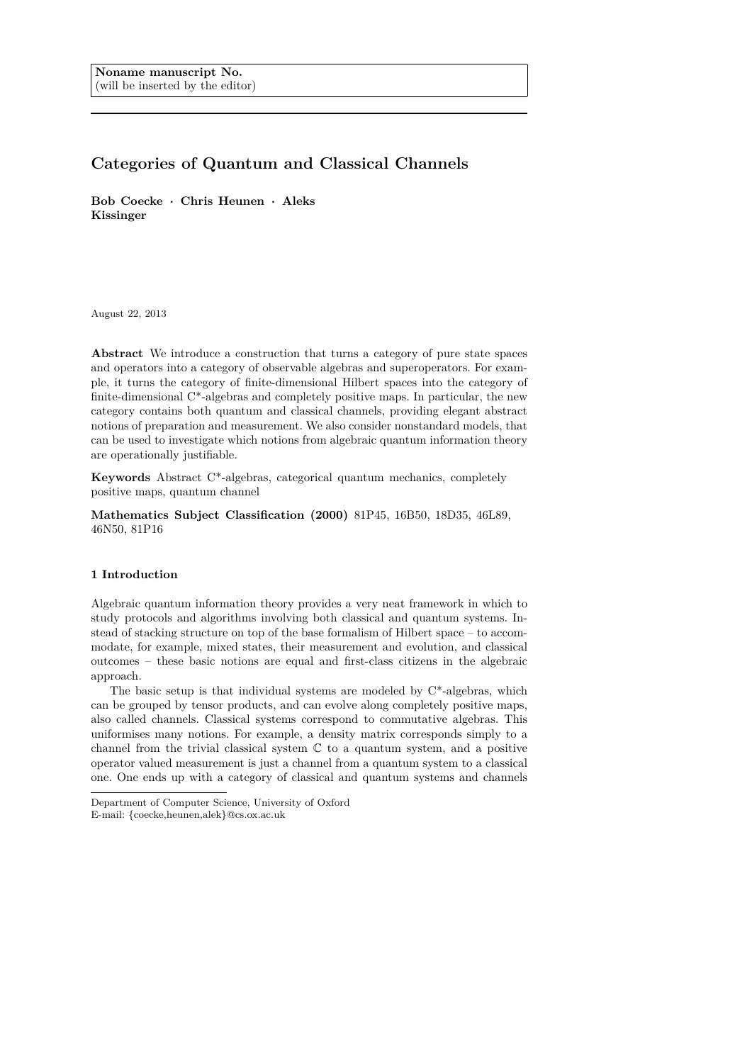# **Categories of Quantum and Classical Channels**

**Bob Coecke · Chris Heunen · Aleks Kissinger**

August 22, 2013

**Abstract** We introduce a construction that turns a category of pure state spaces and operators into a category of observable algebras and superoperators. For example, it turns the category of finite-dimensional Hilbert spaces into the category of finite-dimensional C\*-algebras and completely positive maps. In particular, the new category contains both quantum and classical channels, providing elegant abstract notions of preparation and measurement. We also consider nonstandard models, that can be used to investigate which notions from algebraic quantum information theory are operationally justifiable.

**Keywords** Abstract C\*-algebras, categorical quantum mechanics, completely positive maps, quantum channel

**Mathematics Subject Classification (2000)** 81P45, 16B50, 18D35, 46L89, 46N50, 81P16

# **1 Introduction**

Algebraic quantum information theory provides a very neat framework in which to study protocols and algorithms involving both classical and quantum systems. Instead of stacking structure on top of the base formalism of Hilbert space – to accommodate, for example, mixed states, their measurement and evolution, and classical outcomes – these basic notions are equal and first-class citizens in the algebraic approach.

The basic setup is that individual systems are modeled by C\*-algebras, which can be grouped by tensor products, and can evolve along completely positive maps, also called channels. Classical systems correspond to commutative algebras. This uniformises many notions. For example, a density matrix corresponds simply to a channel from the trivial classical system  $\mathbb C$  to a quantum system, and a positive operator valued measurement is just a channel from a quantum system to a classical one. One ends up with a category of classical and quantum systems and channels

Department of Computer Science, University of Oxford

E-mail: {coecke,heunen,alek}@cs.ox.ac.uk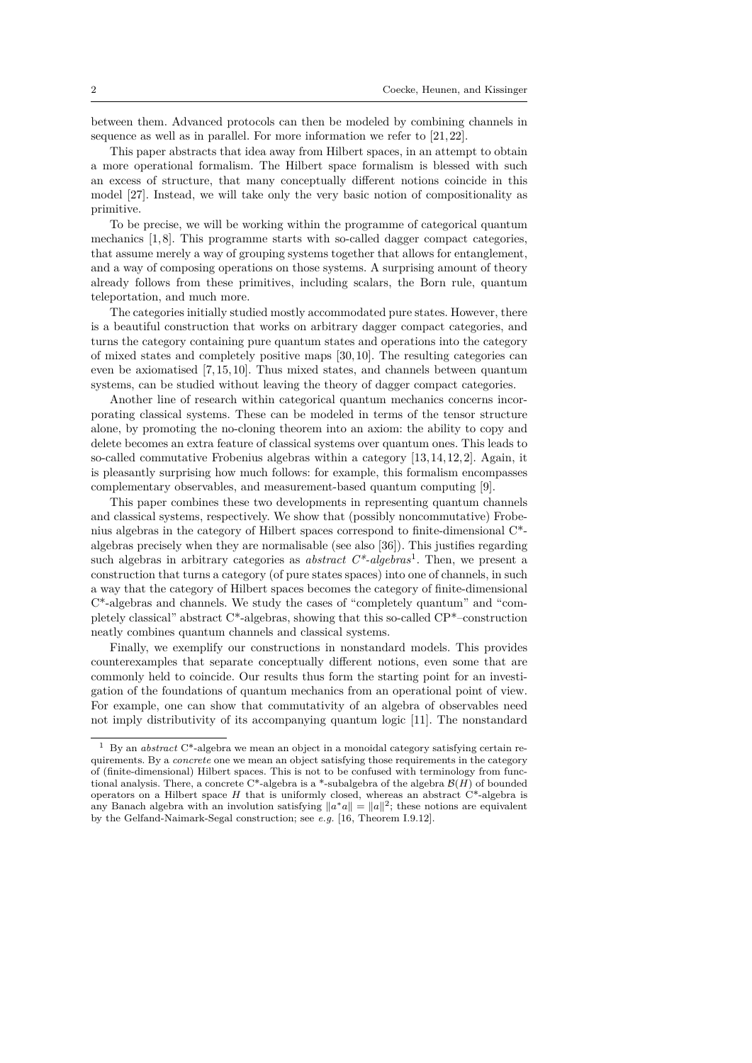between them. Advanced protocols can then be modeled by combining channels in sequence as well as in parallel. For more information we refer to [21, 22].

This paper abstracts that idea away from Hilbert spaces, in an attempt to obtain a more operational formalism. The Hilbert space formalism is blessed with such an excess of structure, that many conceptually different notions coincide in this model [27]. Instead, we will take only the very basic notion of compositionality as primitive.

To be precise, we will be working within the programme of categorical quantum mechanics [1,8]. This programme starts with so-called dagger compact categories, that assume merely a way of grouping systems together that allows for entanglement, and a way of composing operations on those systems. A surprising amount of theory already follows from these primitives, including scalars, the Born rule, quantum teleportation, and much more.

The categories initially studied mostly accommodated pure states. However, there is a beautiful construction that works on arbitrary dagger compact categories, and turns the category containing pure quantum states and operations into the category of mixed states and completely positive maps [30, 10]. The resulting categories can even be axiomatised [7, 15, 10]. Thus mixed states, and channels between quantum systems, can be studied without leaving the theory of dagger compact categories.

Another line of research within categorical quantum mechanics concerns incorporating classical systems. These can be modeled in terms of the tensor structure alone, by promoting the no-cloning theorem into an axiom: the ability to copy and delete becomes an extra feature of classical systems over quantum ones. This leads to so-called commutative Frobenius algebras within a category [13, 14, 12, 2]. Again, it is pleasantly surprising how much follows: for example, this formalism encompasses complementary observables, and measurement-based quantum computing [9].

This paper combines these two developments in representing quantum channels and classical systems, respectively. We show that (possibly noncommutative) Frobenius algebras in the category of Hilbert spaces correspond to finite-dimensional C\* algebras precisely when they are normalisable (see also [36]). This justifies regarding such algebras in arbitrary categories as *abstract C\*-algebras*<sup>1</sup> . Then, we present a construction that turns a category (of pure states spaces) into one of channels, in such a way that the category of Hilbert spaces becomes the category of finite-dimensional C\*-algebras and channels. We study the cases of "completely quantum" and "completely classical" abstract C\*-algebras, showing that this so-called CP\*–construction neatly combines quantum channels and classical systems.

Finally, we exemplify our constructions in nonstandard models. This provides counterexamples that separate conceptually different notions, even some that are commonly held to coincide. Our results thus form the starting point for an investigation of the foundations of quantum mechanics from an operational point of view. For example, one can show that commutativity of an algebra of observables need not imply distributivity of its accompanying quantum logic [11]. The nonstandard

<sup>1</sup> By an *abstract* C\*-algebra we mean an object in a monoidal category satisfying certain requirements. By a *concrete* one we mean an object satisfying those requirements in the category of (finite-dimensional) Hilbert spaces. This is not to be confused with terminology from functional analysis. There, a concrete C<sup>\*</sup>-algebra is a <sup>\*</sup>-subalgebra of the algebra  $\mathcal{B}(H)$  of bounded operators on a Hilbert space  $H$  that is uniformly closed, whereas an abstract  $C^*$ -algebra is any Banach algebra with an involution satisfying  $||a^*a|| = ||a||^2$ ; these notions are equivalent by the Gelfand-Naimark-Segal construction; see *e.g.* [16, Theorem I.9.12].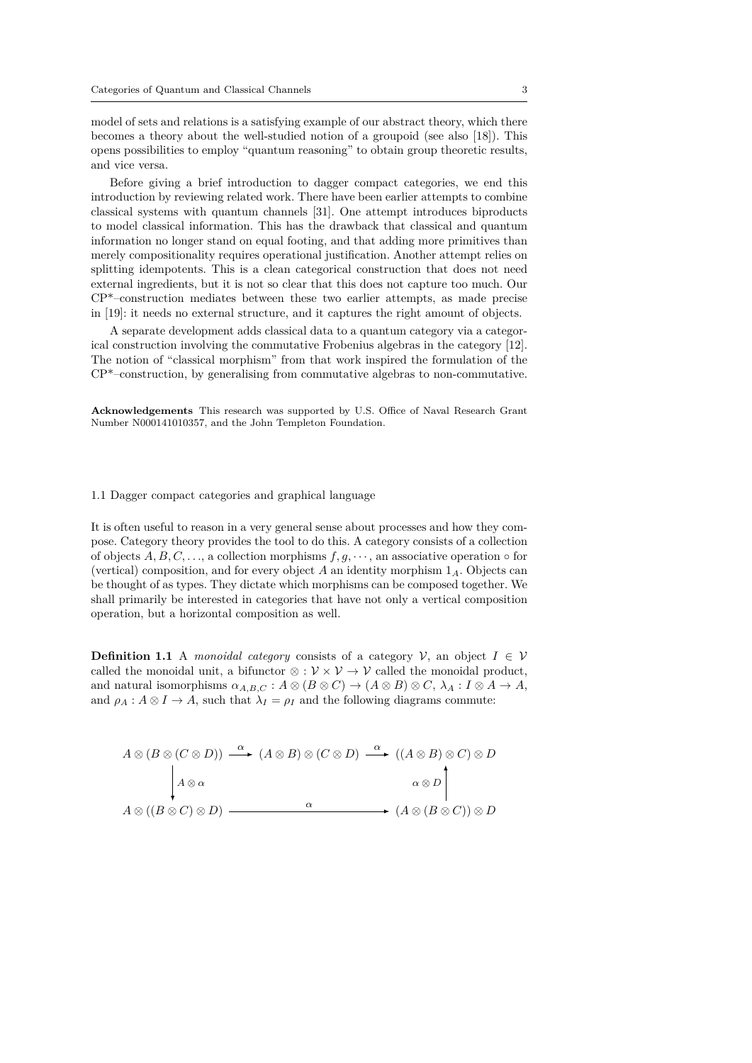model of sets and relations is a satisfying example of our abstract theory, which there becomes a theory about the well-studied notion of a groupoid (see also [18]). This opens possibilities to employ "quantum reasoning" to obtain group theoretic results, and vice versa.

Before giving a brief introduction to dagger compact categories, we end this introduction by reviewing related work. There have been earlier attempts to combine classical systems with quantum channels [31]. One attempt introduces biproducts to model classical information. This has the drawback that classical and quantum information no longer stand on equal footing, and that adding more primitives than merely compositionality requires operational justification. Another attempt relies on splitting idempotents. This is a clean categorical construction that does not need external ingredients, but it is not so clear that this does not capture too much. Our CP\*–construction mediates between these two earlier attempts, as made precise in [19]: it needs no external structure, and it captures the right amount of objects.

A separate development adds classical data to a quantum category via a categorical construction involving the commutative Frobenius algebras in the category [12]. The notion of "classical morphism" from that work inspired the formulation of the CP\*–construction, by generalising from commutative algebras to non-commutative.

**Acknowledgements** This research was supported by U.S. Office of Naval Research Grant Number N000141010357, and the John Templeton Foundation.

#### 1.1 Dagger compact categories and graphical language

It is often useful to reason in a very general sense about processes and how they compose. Category theory provides the tool to do this. A category consists of a collection of objects  $A, B, C, \ldots$ , a collection morphisms  $f, g, \cdots$ , an associative operation  $\circ$  for (vertical) composition, and for every object *A* an identity morphism 1*A*. Objects can be thought of as types. They dictate which morphisms can be composed together. We shall primarily be interested in categories that have not only a vertical composition operation, but a horizontal composition as well.

**Definition 1.1** A *monoidal category* consists of a category  $V$ , an object  $I \in V$ called the monoidal unit, a bifunctor  $\otimes : \mathcal{V} \times \mathcal{V} \to \mathcal{V}$  called the monoidal product, and natural isomorphisms  $\alpha_{A,B,C} : A \otimes (B \otimes C) \rightarrow (A \otimes B) \otimes C, \lambda_A : I \otimes A \rightarrow A$ , and  $\rho_A : A \otimes I \to A$ , such that  $\lambda_I = \rho_I$  and the following diagrams commute:

$$
A \otimes (B \otimes (C \otimes D)) \xrightarrow{\alpha} (A \otimes B) \otimes (C \otimes D) \xrightarrow{\alpha} ((A \otimes B) \otimes C) \otimes D
$$
  
\n
$$
\downarrow A \otimes \alpha \qquad \qquad \downarrow \qquad \qquad \alpha \otimes D
$$
  
\n
$$
A \otimes ((B \otimes C) \otimes D) \xrightarrow{\alpha} (A \otimes (B \otimes C)) \otimes D
$$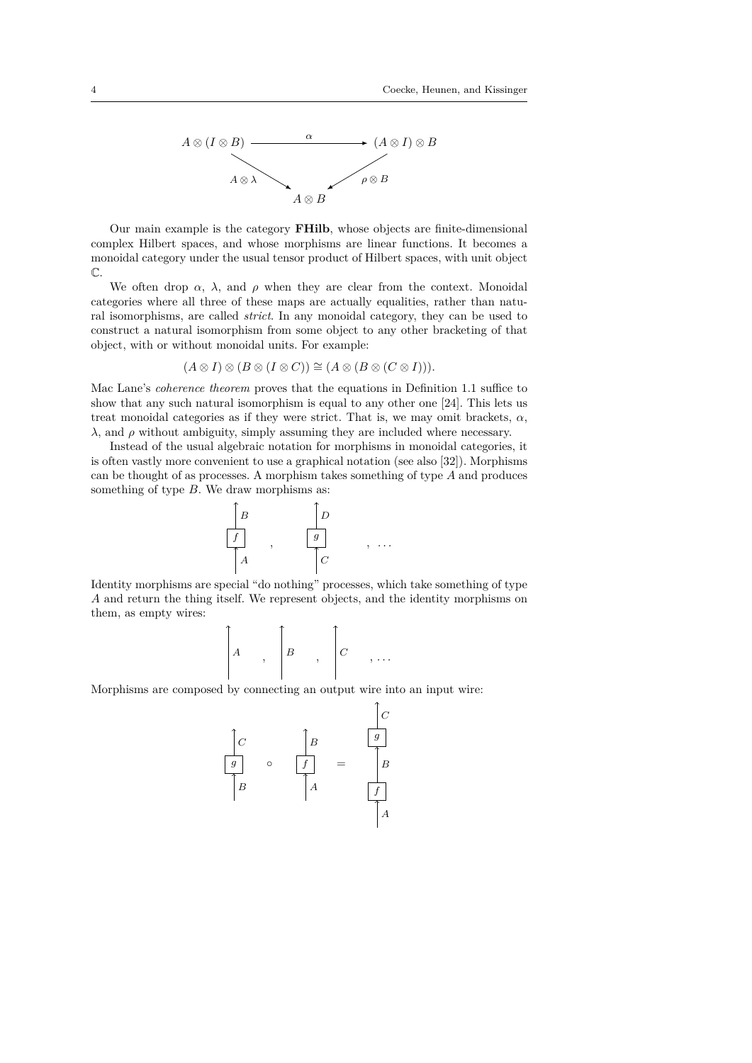

Our main example is the category **FHilb**, whose objects are finite-dimensional complex Hilbert spaces, and whose morphisms are linear functions. It becomes a monoidal category under the usual tensor product of Hilbert spaces, with unit object  $\mathbb{C}$ 

We often drop  $\alpha$ ,  $\lambda$ , and  $\rho$  when they are clear from the context. Monoidal categories where all three of these maps are actually equalities, rather than natural isomorphisms, are called *strict*. In any monoidal category, they can be used to construct a natural isomorphism from some object to any other bracketing of that object, with or without monoidal units. For example:

$$
(A \otimes I) \otimes (B \otimes (I \otimes C)) \cong (A \otimes (B \otimes (C \otimes I))).
$$

Mac Lane's *coherence theorem* proves that the equations in Definition 1.1 suffice to show that any such natural isomorphism is equal to any other one [24]. This lets us treat monoidal categories as if they were strict. That is, we may omit brackets,  $\alpha$ , *λ*, and *ρ* without ambiguity, simply assuming they are included where necessary.

Instead of the usual algebraic notation for morphisms in monoidal categories, it is often vastly more convenient to use a graphical notation (see also [32]). Morphisms can be thought of as processes. A morphism takes something of type *A* and produces something of type *B*. We draw morphisms as:



Identity morphisms are special "do nothing" processes, which take something of type *A* and return the thing itself. We represent objects, and the identity morphisms on them, as empty wires:

$$
\left[\begin{matrix} & & \\ A & & \\ & & \end{matrix}\right], \quad \left[\begin{matrix} B & & \\ & & \end{matrix}\right], \quad \left[\begin{matrix} C & & \\ & & \end{matrix}\right], \ldots
$$

Morphisms are composed by connecting an output wire into an input wire:

*C gC B g* ◦ *f* = *B B A f A*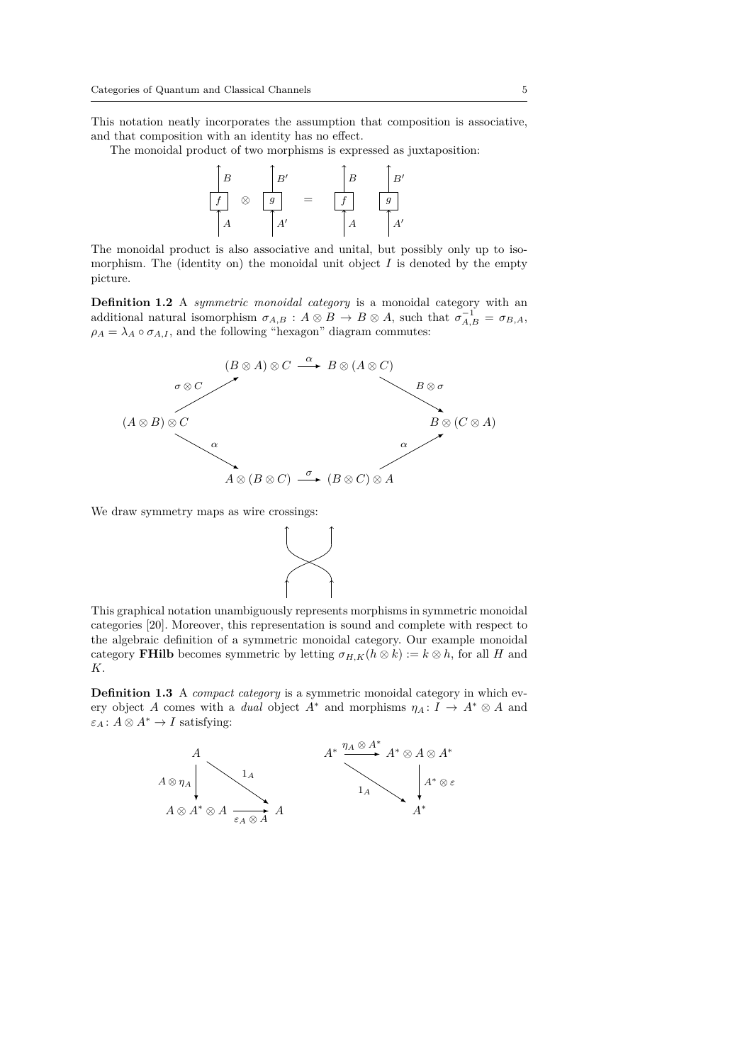This notation neatly incorporates the assumption that composition is associative, and that composition with an identity has no effect.

The monoidal product of two morphisms is expressed as juxtaposition:



The monoidal product is also associative and unital, but possibly only up to isomorphism. The (identity on) the monoidal unit object  $I$  is denoted by the empty picture.

**Definition 1.2** A *symmetric monoidal category* is a monoidal category with an additional natural isomorphism  $\sigma_{A,B}$ :  $A \otimes B \to B \otimes A$ , such that  $\sigma_{A,B}^{-1} = \sigma_{B,A}$ ,  $\rho_A = \lambda_A \circ \sigma_{A,I}$ , and the following "hexagon" diagram commutes:



We draw symmetry maps as wire crossings:



This graphical notation unambiguously represents morphisms in symmetric monoidal categories [20]. Moreover, this representation is sound and complete with respect to the algebraic definition of a symmetric monoidal category. Our example monoidal category **FHilb** becomes symmetric by letting  $\sigma_{H,K}(h \otimes k) := k \otimes h$ , for all *H* and *K*.

**Definition 1.3** A *compact category* is a symmetric monoidal category in which every object *A* comes with a *dual* object  $A^*$  and morphisms  $\eta_A: I \to A^* \otimes A$  and  $\varepsilon_A$ :  $A \otimes A^* \to I$  satisfying:

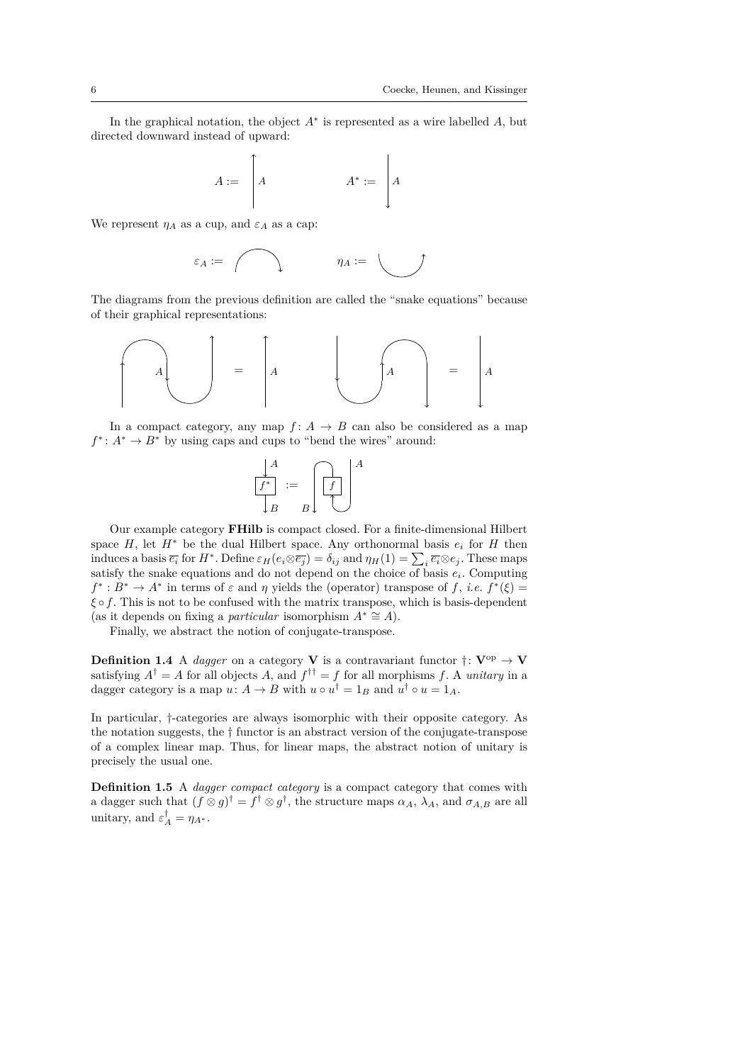In the graphical notation, the object *A*<sup>∗</sup> is represented as a wire labelled *A*, but directed downward instead of upward:

$$
A := \begin{bmatrix} A & A^* := \ A \end{bmatrix}
$$

We represent  $\eta_A$  as a cup, and  $\varepsilon_A$  as a cap:

$$
\varepsilon_A := \bigwedge \qquad \qquad \eta_A := \bigcup
$$

The diagrams from the previous definition are called the "snake equations" because of their graphical representations:

$$
\begin{bmatrix} & & \\ & A & & \\ & & & \\ & & & \end{bmatrix} = \begin{bmatrix} & & & \\ & A & & \\ & & & \\ & & & \end{bmatrix} = \begin{bmatrix} & & & \\ & A & & \\ & & & \\ & & & \end{bmatrix}
$$

In a compact category, any map  $f: A \rightarrow B$  can also be considered as a map  $f^*$ :  $A^* \to B^*$  by using caps and cups to "bend the wires" around:

$$
\begin{array}{c}\nA \\
f^* \\
B\n\end{array} := \begin{bmatrix}\n\phantom{+} \\
f \\
\phantom{+} \\
f\n\end{bmatrix}^A
$$

Our example category **FHilb** is compact closed. For a finite-dimensional Hilbert space  $H$ , let  $H^*$  be the dual Hilbert space. Any orthonormal basis  $e_i$  for  $H$  then induces a basis  $\overline{e_i}$  for  $H^*$ . Define  $\varepsilon_H(e_i \otimes \overline{e_j}) = \delta_{ij}$  and  $\eta_H(1) = \sum_i \overline{e_i} \otimes e_j$ . These maps satisfy the snake equations and do not depend on the choice of basis  $e_i$ . Computing  $f^* : B^* \to A^*$  in terms of  $\varepsilon$  and *η* yields the (operator) transpose of *f*, *i.e.*  $f^*(\xi) =$ *ξ* ◦ *f*. This is not to be confused with the matrix transpose, which is basis-dependent (as it depends on fixing a *particular* isomorphism  $A^* \cong A$ ).

Finally, we abstract the notion of conjugate-transpose.

**Definition 1.4** A *dagger* on a category **V** is a contravariant functor  $\dagger:$  **V**<sup>op</sup>  $\rightarrow$  **V** satisfying  $A^{\dagger} = A$  for all objects A, and  $f^{\dagger \dagger} = f$  for all morphisms f. A *unitary* in a dagger category is a map  $u: A \to B$  with  $u \circ u^{\dagger} = 1_B$  and  $u^{\dagger} \circ u = 1_A$ .

In particular, †-categories are always isomorphic with their opposite category. As the notation suggests, the † functor is an abstract version of the conjugate-transpose of a complex linear map. Thus, for linear maps, the abstract notion of unitary is precisely the usual one.

**Definition 1.5** A *dagger compact category* is a compact category that comes with a dagger such that  $(f \otimes g)^\dagger = f^\dagger \otimes g^\dagger$ , the structure maps  $\alpha_A$ ,  $\lambda_A$ , and  $\sigma_{A,B}$  are all unitary, and  $\varepsilon_A^{\dagger} = \eta_{A^*}.$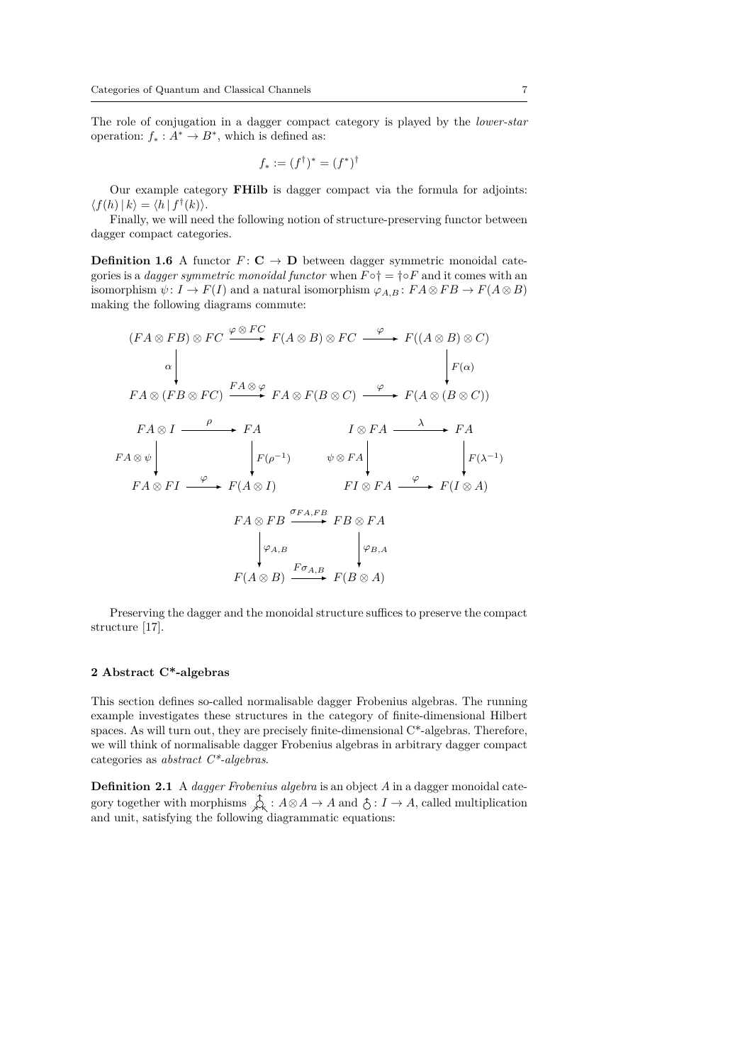The role of conjugation in a dagger compact category is played by the *lower-star* operation:  $f_* : A^* \to B^*$ , which is defined as:

$$
f_* := (f^\dagger)^* = (f^*)^\dagger
$$

Our example category **FHilb** is dagger compact via the formula for adjoints:  $\langle f(h) | k \rangle = \langle h | f^{\dagger}(k) \rangle.$ 

Finally, we will need the following notion of structure-preserving functor between dagger compact categories.

**Definition 1.6** A functor  $F: \mathbf{C} \to \mathbf{D}$  between dagger symmetric monoidal categories is a *dagger symmetric monoidal functor* when  $F \circ \dagger = \dagger \circ F$  and it comes with an isomorphism  $\psi: I \to F(I)$  and a natural isomorphism  $\varphi_{A,B}: F A \otimes F B \to F(A \otimes B)$ making the following diagrams commute:

$$
(FA \otimes FB) \otimes FC \xrightarrow{\varphi \otimes FC} F(A \otimes B) \otimes FC \xrightarrow{\varphi} F((A \otimes B) \otimes C)
$$
\n
$$
\downarrow F(A \otimes (FB \otimes FC) \xrightarrow{FA \otimes \varphi} FA \otimes F(B \otimes C) \xrightarrow{\varphi} F(A \otimes (B \otimes C))
$$
\n
$$
FA \otimes I \xrightarrow{\rho} FA \xrightarrow{\rho} FA \xrightarrow{\qquad} I \otimes FA \xrightarrow{\qquad} FA
$$
\n
$$
FA \otimes FI \xrightarrow{\varphi} F(A \otimes I) \xrightarrow{\qquad} FI \otimes FA \xrightarrow{\qquad} F(I \otimes A)
$$
\n
$$
FA \otimes FB \xrightarrow{\sigma_{FA,FB}} FB \otimes FA
$$
\n
$$
\downarrow \varphi_{A,B} \xrightarrow{\qquad} F(A \otimes B) \xrightarrow{F\sigma_{A,B}} FB \otimes FA
$$
\n
$$
F(A \otimes B) \xrightarrow{F\sigma_{A,B}} F(B \otimes A)
$$

Preserving the dagger and the monoidal structure suffices to preserve the compact structure [17].

# **2 Abstract C\*-algebras**

This section defines so-called normalisable dagger Frobenius algebras. The running example investigates these structures in the category of finite-dimensional Hilbert spaces. As will turn out, they are precisely finite-dimensional C\*-algebras. Therefore, we will think of normalisable dagger Frobenius algebras in arbitrary dagger compact categories as *abstract C\*-algebras*.

**Definition 2.1** A *dagger Frobenius algebra* is an object *A* in a dagger monoidal category together with morphisms  $\oint_S : A \otimes A \to A$  and  $\hat{\circ} : I \to A$ , called multiplication and unit, satisfying the following diagrammatic equations: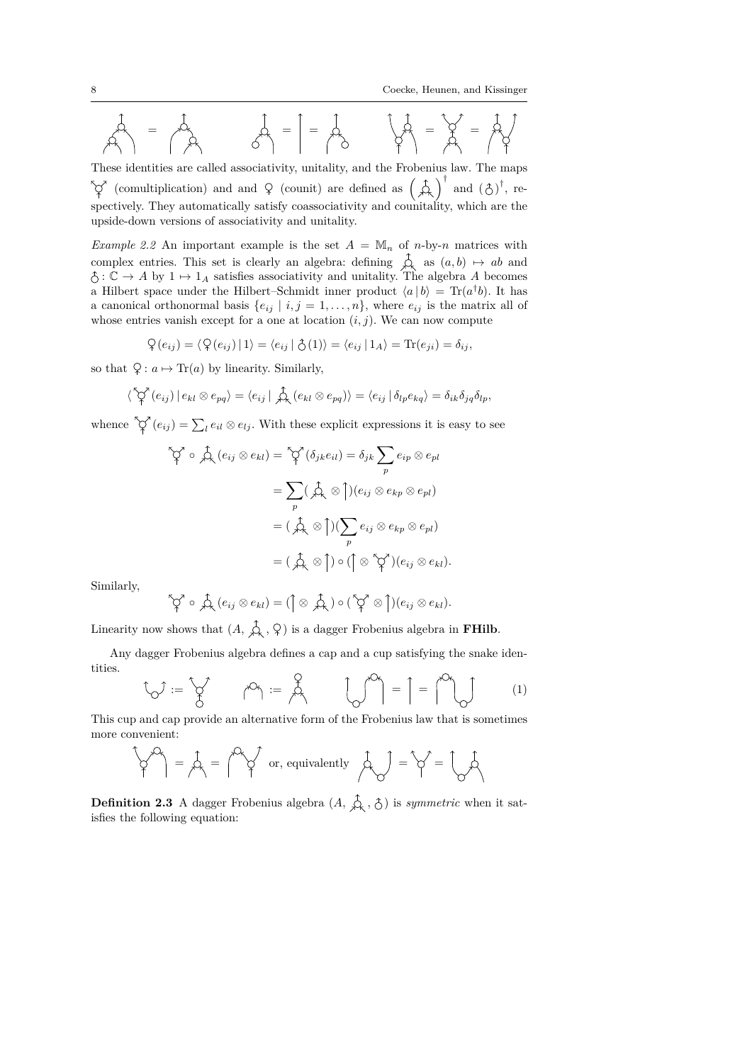8 Coecke, Heunen, and Kissinger

$$
\mathcal{A} = \mathcal{A} = \begin{bmatrix} 1 \\ 1 \\ 1 \end{bmatrix} = \begin{bmatrix} 1 \\ 1 \\ 1 \end{bmatrix} = \begin{bmatrix} 1 \\ 1 \\ 1 \end{bmatrix} = \begin{bmatrix} 1 \\ 1 \\ 1 \end{bmatrix} = \begin{bmatrix} 1 \\ 1 \\ 1 \end{bmatrix} = \begin{bmatrix} 1 \\ 1 \\ 1 \end{bmatrix} = \begin{bmatrix} 1 \\ 1 \\ 1 \end{bmatrix}
$$

These identities are called associativity, unitality, and the Frobenius law. The maps (comultiplication) and and  $\varphi$  (counit) are defined as  $\left(\begin{array}{c}\uparrow\\ \downarrow\end{array}\right)^{\dagger}$  and  $\left(\begin{array}{c}\uparrow\\ \circ\end{array}\right)^{\dagger}$ , respectively. They automatically satisfy coassociativity and counitality, which are the upside-down versions of associativity and unitality.

*Example 2.2* An important example is the set  $A = \mathbb{M}_n$  of *n*-by-*n* matrices with complex entries. This set is clearly an algebra: defining  $\hat{\varphi}_k$  as  $(a, b) \mapsto ab$  and :  $\mathbb{C} \to A$  by  $1 \mapsto 1_A$  satisfies associativity and unitality. The algebra A becomes a Hilbert space under the Hilbert–Schmidt inner product  $\langle a | b \rangle = \text{Tr}(a^{\dagger}b)$ . It has a canonical orthonormal basis  $\{e_{ij} | i, j = 1, \ldots, n\}$ , where  $e_{ij}$  is the matrix all of whose entries vanish except for a one at location  $(i, j)$ . We can now compute

$$
\mathcal{Q}(e_{ij}) = \langle \mathcal{Q}(e_{ij}) | 1 \rangle = \langle e_{ij} | \mathcal{Q}(1) \rangle = \langle e_{ij} | 1_A \rangle = \text{Tr}(e_{ji}) = \delta_{ij},
$$

so that  $\varphi: a \mapsto \text{Tr}(a)$  by linearity. Similarly,

$$
\langle \nabla^{\gamma} (e_{ij}) | e_{kl} \otimes e_{pq} \rangle = \langle e_{ij} | \nabla_{\gamma} (e_{kl} \otimes e_{pq}) \rangle = \langle e_{ij} | \nabla_{\gamma} e_{kq} \rangle = \delta_{ik} \delta_{jq} \delta_{lp},
$$

whence  $\bigcirc \phi$   $(e_{ij}) = \sum_l e_{il} \otimes e_{lj}$ . With these explicit expressions it is easy to see

$$
\begin{aligned}\n\tilde{\varphi}^{\dagger} \circ \hat{\varphi}_{k}(e_{ij} \otimes e_{kl}) &= \tilde{\varphi}^{\dagger}(\delta_{jk}e_{il}) = \delta_{jk} \sum_{p} e_{ip} \otimes e_{pl} \\
&= \sum_{p} (\hat{\varphi}_{k} \otimes \hat{\uparrow})(e_{ij} \otimes e_{kp} \otimes e_{pl}) \\
&= (\hat{\varphi}_{k} \otimes \hat{\uparrow})(\sum_{p} e_{ij} \otimes e_{kp} \otimes e_{pl}) \\
&= (\hat{\varphi}_{k} \otimes \hat{\uparrow}) \circ (\hat{\uparrow} \otimes \hat{\uparrow}^{\dagger})(e_{ij} \otimes e_{kl}).\n\end{aligned}
$$

Similarly,

$$
\bigwedge^r \varphi^r \circ \bigwedge^r (e_{ij} \otimes e_{kl}) = (\bigwedge^r \otimes \bigwedge^r \circ (\bigwedge^r \otimes \bigwedge^r)(e_{ij} \otimes e_{kl}).
$$

Linearity now shows that  $(A, \hat{\uparrow}_{\mathsf{A}}, \hat{\uparrow})$  is a dagger Frobenius algebra in **FHilb**.

Any dagger Frobenius algebra defines a cap and a cup satisfying the snake identities.

$$
\begin{bmatrix} \nabla \cdot \mathbf{y} & \nabla \cdot \mathbf{y} & \nabla \cdot \mathbf{y} & \nabla \cdot \mathbf{y} & \nabla \cdot \mathbf{y} & \nabla \cdot \mathbf{y} & \nabla \cdot \mathbf{y} & \nabla \cdot \mathbf{y} & \nabla \cdot \mathbf{y} & \nabla \cdot \mathbf{y} & \nabla \cdot \mathbf{y} & \nabla \cdot \mathbf{y} & \nabla \cdot \mathbf{y} & \nabla \cdot \mathbf{y} & \nabla \cdot \mathbf{y} & \nabla \cdot \mathbf{y} & \nabla \cdot \mathbf{y} & \nabla \cdot \mathbf{y} & \nabla \cdot \mathbf{y} & \nabla \cdot \mathbf{y} & \nabla \cdot \mathbf{y} & \nabla \cdot \mathbf{y} & \nabla \cdot \mathbf{y} & \nabla \cdot \mathbf{y} & \nabla \cdot \mathbf{y} & \nabla \cdot \mathbf{y} & \nabla \cdot \mathbf{y} & \nabla \cdot \mathbf{y} & \nabla \cdot \mathbf{y} & \nabla \cdot \mathbf{y} & \nabla \cdot \mathbf{y} & \nabla \cdot \mathbf{y} & \nabla \cdot \mathbf{y} & \nabla \cdot \mathbf{y} & \nabla \cdot \mathbf{y} & \nabla \cdot \mathbf{y} & \nabla \cdot \mathbf{y} & \nabla \cdot \mathbf{y} & \nabla \cdot \mathbf{y} & \nabla \cdot \mathbf{y} & \nabla \cdot \mathbf{y} & \nabla \cdot \mathbf{y} & \nabla \cdot \mathbf{y} & \nabla \cdot \mathbf{y} & \nabla \cdot \mathbf{y} & \nabla \cdot \mathbf{y} & \nabla \cdot \mathbf{y} & \nabla \cdot \mathbf{y} & \nabla \cdot \mathbf{y} & \nabla \cdot \mathbf{y} & \nabla \cdot \mathbf{y} & \nabla \cdot \mathbf{y} & \nabla \cdot \mathbf{y} & \nabla \cdot \mathbf{y} & \nabla \cdot \mathbf{y} & \nabla \cdot \mathbf{y} & \nabla \cdot \mathbf{y} & \nabla \cdot \mathbf{y} &
$$

This cup and cap provide an alternative form of the Frobenius law that is sometimes more convenient:

$$
\begin{Bmatrix} 1 & 0 \\ 0 & 1 \end{Bmatrix} = \begin{Bmatrix} 1 & 0 \\ 0 & 1 \end{Bmatrix} \quad \text{or, equivalently} \quad \begin{Bmatrix} 1 & 0 \\ 0 & 1 \end{Bmatrix} = \begin{Bmatrix} 1 & 0 \\ 0 & 1 \end{Bmatrix}
$$

**Definition 2.3** A dagger Frobenius algebra  $(A, \hat{\uparrow}_{\lambda}, \hat{\uparrow})$  is *symmetric* when it satisfies the following equation: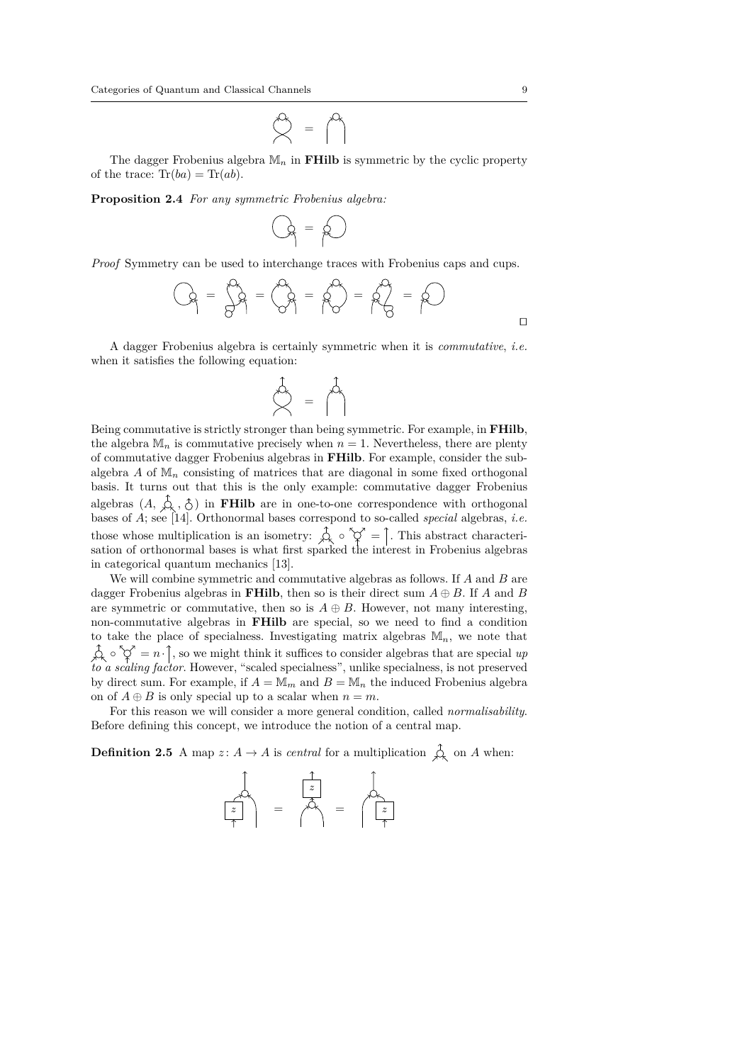$\infty = \infty$ 

The dagger Frobenius algebra  $\mathbb{M}_n$  in **FHilb** is symmetric by the cyclic property of the trace:  $\text{Tr}(ba) = \text{Tr}(ab)$ .

**Proposition 2.4** *For any symmetric Frobenius algebra:*

$$
Q_f = Q
$$

*Proof* Symmetry can be used to interchange traces with Frobenius caps and cups.

$$
Q_1 = \frac{1}{2}Q_1 = \frac{1}{2}Q_1 = \frac{1}{2}Q_2 = \frac{1}{2}Q_1 = \frac{1}{2}Q_1
$$

A dagger Frobenius algebra is certainly symmetric when it is *commutative*, *i.e.* when it satisfies the following equation:

$$
\bigotimes^1 = \bigwedge^1
$$

Being commutative is strictly stronger than being symmetric. For example, in **FHilb**, the algebra  $M_n$  is commutative precisely when  $n = 1$ . Nevertheless, there are plenty of commutative dagger Frobenius algebras in **FHilb**. For example, consider the subalgebra  $A$  of  $\mathbb{M}_n$  consisting of matrices that are diagonal in some fixed orthogonal basis. It turns out that this is the only example: commutative dagger Frobenius algebras  $(A, \hat{\phi}, \hat{\zeta})$  in **FHilb** are in one-to-one correspondence with orthogonal bases of *A*; see [14]. Orthonormal bases correspond to so-called *special* algebras, *i.e.* those whose multiplication is an isometry:  $\oint_S \circ \check{\heartsuit} =$ . This abstract characterisation of orthonormal bases is what first sparked the interest in Frobenius algebras in categorical quantum mechanics [13].

We will combine symmetric and commutative algebras as follows. If *A* and *B* are dagger Frobenius algebras in **FHilb**, then so is their direct sum  $A \oplus B$ . If *A* and *B* are symmetric or commutative, then so is  $A \oplus B$ . However, not many interesting, non-commutative algebras in **FHilb** are special, so we need to find a condition to take the place of specialness. Investigating matrix algebras  $M_n$ , we note that  $\hat{\varphi} \circ \hat{\varphi}' = n \cdot \hat{\mathcal{I}}$ , so we might think it suffices to consider algebras that are special up *to a scaling factor*. However, "scaled specialness", unlike specialness, is not preserved by direct sum. For example, if  $A = M_m$  and  $B = M_n$  the induced Frobenius algebra on of  $A \oplus B$  is only special up to a scalar when  $n = m$ .

For this reason we will consider a more general condition, called *normalisability*. Before defining this concept, we introduce the notion of a central map.

**Definition 2.5** A map  $z: A \to A$  is *central* for a multiplication  $\hat{\mathcal{A}}$  on A when:

$$
\begin{array}{c}\n\downarrow \\
z \\
\uparrow\n\end{array} = \begin{array}{c}\n\downarrow \\
\uparrow \\
\uparrow\n\end{array} = \begin{array}{c}\n\downarrow \\
\downarrow \\
\uparrow\n\end{array}
$$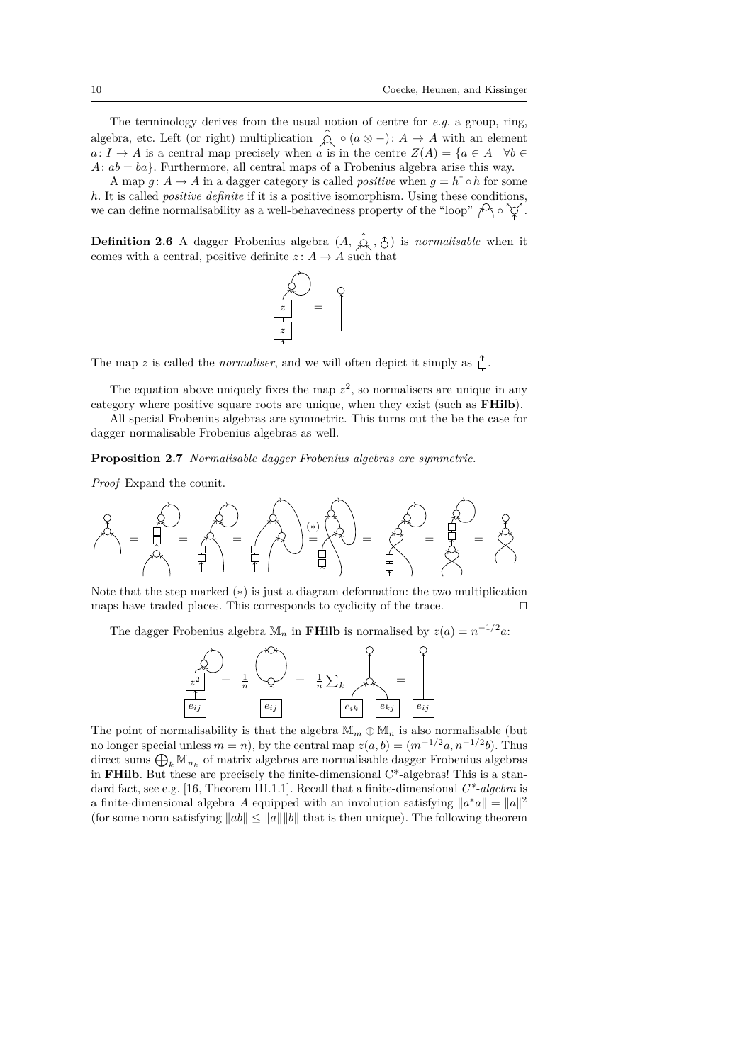The terminology derives from the usual notion of centre for *e.g.* a group, ring, algebra, etc. Left (or right) multiplication  $\bigwedge^{\bullet} \circ (a \otimes -) : A \to A$  with an element *a*: *I* → *A* is a central map precisely when *a* is in the centre  $Z(A) = \{a \in A \mid \forall b \in A\}$  $A: ab = ba$ . Furthermore, all central maps of a Frobenius algebra arise this way.

A map  $g: A \to A$  in a dagger category is called *positive* when  $g = h^{\dagger} \circ h$  for some *h*. It is called *positive definite* if it is a positive isomorphism. Using these conditions, we can define normalisability as a well-behavedness property of the "loop"  $\beta_1 \circ \gamma$ .

**Definition 2.6** A dagger Frobenius algebra  $(A, \overrightarrow{A}, \overrightarrow{A}, \overrightarrow{C})$  is *normalisable* when it comes with a central, positive definite  $z: A \rightarrow A$  such that



The map *z* is called the *normaliser*, and we will often depict it simply as  $\hat{\uparrow}$ .

The equation above uniquely fixes the map  $z^2$ , so normalisers are unique in any category where positive square roots are unique, when they exist (such as **FHilb**).

All special Frobenius algebras are symmetric. This turns out the be the case for dagger normalisable Frobenius algebras as well.

**Proposition 2.7** *Normalisable dagger Frobenius algebras are symmetric.*

*Proof* Expand the counit.



Note that the step marked (\*) is just a diagram deformation: the two multiplication maps have traded places. This corresponds to cyclicity of the trace.  $\Box$ 

The dagger Frobenius algebra  $\mathbb{M}_n$  in **FHilb** is normalised by  $z(a) = n^{-1/2}a$ .

$$
\begin{array}{c}\n\begin{pmatrix}\n\sqrt{2} \\
\frac{1}{2}\n\end{pmatrix} = \frac{1}{n} \begin{pmatrix}\n\sqrt{2} \\
\sqrt{2} \\
\frac{1}{2} \\
\frac{1}{2} \\
\frac{1}{2} \\
\frac{1}{2} \\
\frac{1}{2} \\
\frac{1}{2} \\
\frac{1}{2} \\
\frac{1}{2} \\
\frac{1}{2} \\
\frac{1}{2} \\
\frac{1}{2} \\
\frac{1}{2} \\
\frac{1}{2} \\
\frac{1}{2} \\
\frac{1}{2} \\
\frac{1}{2} \\
\frac{1}{2} \\
\frac{1}{2} \\
\frac{1}{2} \\
\frac{1}{2} \\
\frac{1}{2} \\
\frac{1}{2} \\
\frac{1}{2} \\
\frac{1}{2} \\
\frac{1}{2} \\
\frac{1}{2} \\
\frac{1}{2} \\
\frac{1}{2} \\
\frac{1}{2} \\
\frac{1}{2} \\
\frac{1}{2} \\
\frac{1}{2} \\
\frac{1}{2} \\
\frac{1}{2} \\
\frac{1}{2} \\
\frac{1}{2} \\
\frac{1}{2} \\
\frac{1}{2} \\
\frac{1}{2} \\
\frac{1}{2} \\
\frac{1}{2} \\
\frac{1}{2} \\
\frac{1}{2} \\
\frac{1}{2} \\
\frac{1}{2} \\
\frac{1}{2} \\
\frac{1}{2} \\
\frac{1}{2} \\
\frac{1}{2} \\
\frac{1}{2} \\
\frac{1}{2} \\
\frac{1}{2} \\
\frac{1}{2} \\
\frac{1}{2} \\
\frac{1}{2} \\
\frac{1}{2} \\
\frac{1}{2} \\
\frac{1}{2} \\
\frac{1}{2} \\
\frac{1}{2} \\
\frac{1}{2} \\
\frac{1}{2} \\
\frac{1}{2} \\
\frac{1}{2} \\
\frac{1}{2} \\
\frac{1}{2} \\
\frac{1}{2} \\
\frac{1}{2} \\
\frac{1}{2} \\
\frac{1}{2} \\
\frac{1}{2} \\
\frac{1}{2} \\
\frac{1}{2} \\
\frac{1}{2} \\
\frac{1}{2} \\
\frac{1}{2} \\
\frac{1}{2} \\
\frac{1}{2} \\
\frac{1}{2} \\
\frac{1}{2} \\
\frac{1}{2} \\
\frac{1}{2} \\
\frac{1}{2} \\
\frac{1}{2} \\
\frac{1}{2} \\
\frac{1}{2} \\
\frac{1}{2} \\
\frac
$$

The point of normalisability is that the algebra  $\mathbb{M}_m \oplus \mathbb{M}_n$  is also normalisable (but no longer special unless  $m = n$ , by the central map  $z(a, b) = (m^{-1/2}a, n^{-1/2}b)$ . Thus direct sums  $\bigoplus_k \mathbb{M}_{n_k}$  of matrix algebras are normalisable dagger Frobenius algebras in **FHilb**. But these are precisely the finite-dimensional C\*-algebras! This is a standard fact, see e.g. [16, Theorem III.1.1]. Recall that a finite-dimensional *C\*-algebra* is a finite-dimensional algebra *A* equipped with an involution satisfying  $||a^*a|| = ||a||^2$ (for some norm satisfying  $||ab|| \le ||a|| ||b||$  that is then unique). The following theorem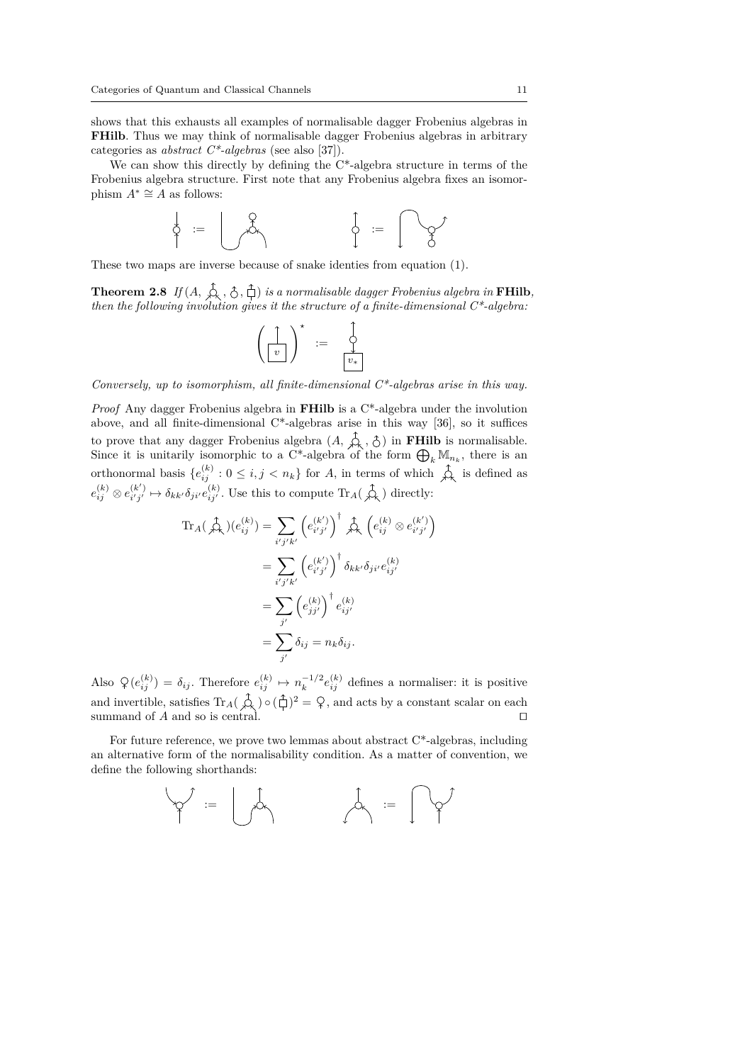shows that this exhausts all examples of normalisable dagger Frobenius algebras in **FHilb**. Thus we may think of normalisable dagger Frobenius algebras in arbitrary categories as *abstract C\*-algebras* (see also [37]).

We can show this directly by defining the  $C^*$ -algebra structure in terms of the Frobenius algebra structure. First note that any Frobenius algebra fixes an isomorphism  $A^* \cong A$  as follows:

$$
\begin{array}{cccc}\n\phi & \mathrel{\mathop:}= & \bigcup_{\mathfrak{S}} \mathfrak{S} & \\
\phi & \mathrel{\mathop:}= & \bigcap_{\mathfrak{S}} \mathfrak{S}' & \\
\end{array}
$$

These two maps are inverse because of snake identies from equation (1).

**Theorem 2.8** If  $(A, \overline{A}, \overline{A}, \overline{C})$  is a normalisable dagger Frobenius algebra in **FHilb**, *then the following involution gives it the structure of a finite-dimensional C\*-algebra:*

$$
\left(\begin{array}{c}\uparrow\\ \hline v\end{array}\right)^{\star} \;\; := \;\; \begin{array}{c}\uparrow\\ \hline v\\ \hline v_*\end{array}
$$

*Conversely, up to isomorphism, all finite-dimensional C\*-algebras arise in this way.*

*Proof* Any dagger Frobenius algebra in **FHilb** is a C\*-algebra under the involution above, and all finite-dimensional C\*-algebras arise in this way [36], so it suffices to prove that any dagger Frobenius algebra  $(A, \varphi, \hat{\zeta})$  in **FHilb** is normalisable. Since it is unitarily isomorphic to a C<sup>\*</sup>-algebra of the form  $\bigoplus_k \mathbb{M}_{n_k}$ , there is an orthonormal basis  ${e_{ij}^{(k)}: 0 \le i, j < n_k}$  for *A*, in terms of which  $\hat{\mathcal{L}}_k$  is defined as  $e_{ij}^{(k)} \otimes e_{i'j'}^{(k')} \mapsto \delta_{kk'} \delta_{ji'} e_{ij'}^{(k)}$ . Use this to compute Tr<sub>A</sub>(  $\hat{\mathcal{L}}$ <sub>k</sub>) directly:

$$
\operatorname{Tr}_{A}(\overrightarrow{\mathcal{A}}_{k})(e_{ij}^{(k)}) = \sum_{i'j'k'} \left(e_{i'j'}^{(k')}\right)^{\dagger} \overrightarrow{\mathcal{A}}_{k} \left(e_{ij}^{(k)} \otimes e_{i'j'}^{(k')}\right)
$$

$$
= \sum_{i'j'k'} \left(e_{i'j'}^{(k')}\right)^{\dagger} \delta_{kk'} \delta_{ji'} e_{ij'}^{(k)}
$$

$$
= \sum_{j'} \left(e_{jj'}^{(k)}\right)^{\dagger} e_{ij'}^{(k)}
$$

$$
= \sum_{j'} \delta_{ij} = n_{k} \delta_{ij}.
$$

Also  $\varphi(e_{ij}^{(k)}) = \delta_{ij}$ . Therefore  $e_{ij}^{(k)} \mapsto n_k^{-1/2} e_{ij}^{(k)}$  defines a normaliser: it is positive and invertible, satisfies  $\text{Tr}_A(\overrightarrow{\mathcal{A}}) \circ (\overrightarrow{\mathcal{A}})^2 = \overrightarrow{\mathcal{A}}$ , and acts by a constant scalar on each summand of *A* and so is central.  $\square$ 

For future reference, we prove two lemmas about abstract  $C^*$ -algebras, including an alternative form of the normalisability condition. As a matter of convention, we define the following shorthands:

$$
\varphi' \; := \; \bigcup\limits_{i=1}^n \varphi_i \qquad \qquad \varphi' \; := \; \bigcap\limits_{i=1}^n \varphi_i'
$$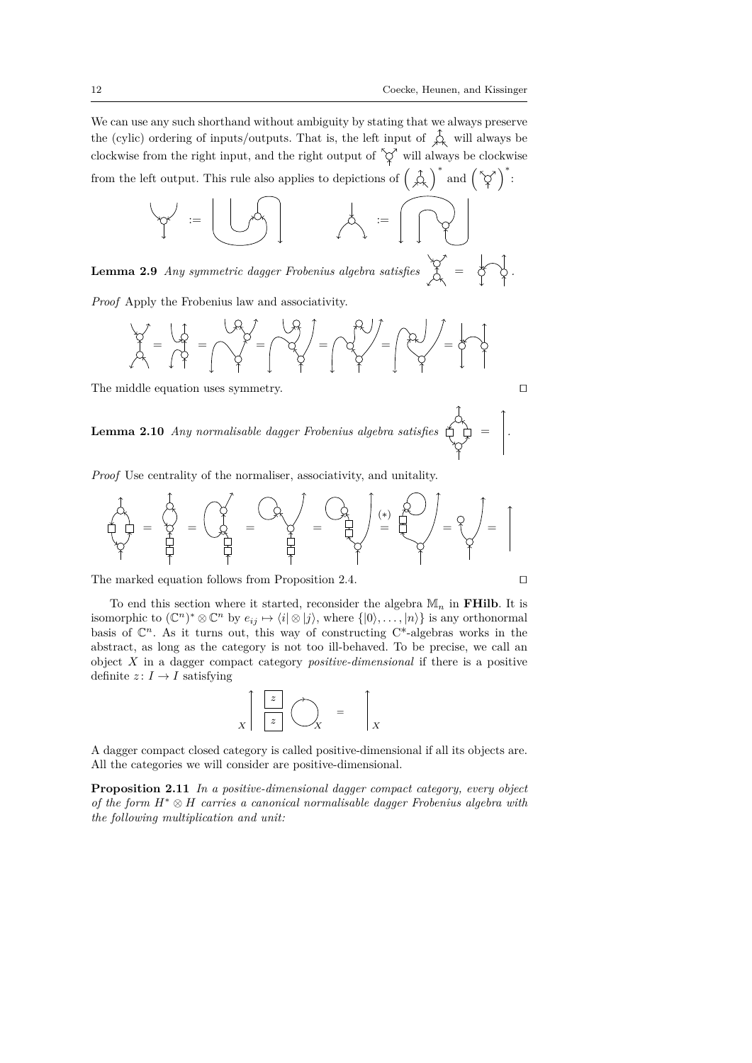We can use any such shorthand without ambiguity by stating that we always preserve the (cylic) ordering of inputs/outputs. That is, the left input of  $\overrightarrow{\mathcal{L}}$  will always be clockwise from the right input, and the right output of  $\varphi$ <sup>\*</sup> will always be clockwise from the left output. This rule also applies to depictions of  $\left(\begin{array}{c} \uparrow \\ \downarrow \downarrow \end{array}\right)^*$  and  $\left(\begin{array}{c} \searrow \\ \searrow \end{array}\right)^*$ :

$$
\begin{matrix} \mathcal{A} & \mathcal{A} & \mathcal{A} & \mathcal{A} & \mathcal{A} & \mathcal{A} & \mathcal{A} & \mathcal{A} & \mathcal{A} & \mathcal{A} & \mathcal{A} & \mathcal{A} & \mathcal{A} & \mathcal{A} & \mathcal{A} & \mathcal{A} & \mathcal{A} & \mathcal{A} & \mathcal{A} & \mathcal{A} & \mathcal{A} & \mathcal{A} & \mathcal{A} & \mathcal{A} & \mathcal{A} & \mathcal{A} & \mathcal{A} & \mathcal{A} & \mathcal{A} & \mathcal{A} & \mathcal{A} & \mathcal{A} & \mathcal{A} & \mathcal{A} & \mathcal{A} & \mathcal{A} & \mathcal{A} & \mathcal{A} & \mathcal{A} & \mathcal{A} & \mathcal{A} & \mathcal{A} & \mathcal{A} & \mathcal{A} & \mathcal{A} & \mathcal{A} & \mathcal{A} & \mathcal{A} & \mathcal{A} & \mathcal{A} & \mathcal{A} & \mathcal{A} & \mathcal{A} & \mathcal{A} & \mathcal{A} & \mathcal{A} & \mathcal{A} & \mathcal{A} & \mathcal{A} & \mathcal{A} & \mathcal{A} & \mathcal{A} & \mathcal{A} & \mathcal{A} & \mathcal{A} & \mathcal{A} & \mathcal{A} & \mathcal{A} & \mathcal{A} & \mathcal{A} & \mathcal{A} & \mathcal{A} & \mathcal{A} & \mathcal{A} & \mathcal{A} & \mathcal{A} & \mathcal{A} & \mathcal{A} & \mathcal{A} & \mathcal{A} & \mathcal{A} & \mathcal{A} & \mathcal{A} & \mathcal{A} &
$$

**Lemma 2.9** *Any symmetric dagger Frobenius algebra satisfies*  $\begin{bmatrix} \diamondsuit \\ \diamondsuit \end{bmatrix} = \begin{bmatrix} \diamondsuit \\ \diamondsuit \end{bmatrix}$ .

*Proof* Apply the Frobenius law and associativity.

$$
\frac{1}{\sqrt{2}} = \frac{1}{\sqrt{2}} = \frac{1}{\sqrt{2}} = \frac{1}{\sqrt{2}} = \frac{1}{\sqrt{2}} = \frac{1}{\sqrt{2}} = \frac{1}{\sqrt{2}} = \frac{1}{\sqrt{2}} = \frac{1}{\sqrt{2}} = \frac{1}{\sqrt{2}} = \frac{1}{\sqrt{2}} = \frac{1}{\sqrt{2}} = \frac{1}{\sqrt{2}} = \frac{1}{\sqrt{2}} = \frac{1}{\sqrt{2}} = \frac{1}{\sqrt{2}} = \frac{1}{\sqrt{2}} = \frac{1}{\sqrt{2}} = \frac{1}{\sqrt{2}} = \frac{1}{\sqrt{2}} = \frac{1}{\sqrt{2}} = \frac{1}{\sqrt{2}} = \frac{1}{\sqrt{2}} = \frac{1}{\sqrt{2}} = \frac{1}{\sqrt{2}} = \frac{1}{\sqrt{2}} = \frac{1}{\sqrt{2}} = \frac{1}{\sqrt{2}} = \frac{1}{\sqrt{2}} = \frac{1}{\sqrt{2}} = \frac{1}{\sqrt{2}} = \frac{1}{\sqrt{2}} = \frac{1}{\sqrt{2}} = \frac{1}{\sqrt{2}} = \frac{1}{\sqrt{2}} = \frac{1}{\sqrt{2}} = \frac{1}{\sqrt{2}} = \frac{1}{\sqrt{2}} = \frac{1}{\sqrt{2}} = \frac{1}{\sqrt{2}} = \frac{1}{\sqrt{2}} = \frac{1}{\sqrt{2}} = \frac{1}{\sqrt{2}} = \frac{1}{\sqrt{2}} = \frac{1}{\sqrt{2}} = \frac{1}{\sqrt{2}} = \frac{1}{\sqrt{2}} = \frac{1}{\sqrt{2}} = \frac{1}{\sqrt{2}} = \frac{1}{\sqrt{2}} = \frac{1}{\sqrt{2}} = \frac{1}{\sqrt{2}} = \frac{1}{\sqrt{2}} = \frac{1}{\sqrt{2}} = \frac{1}{\sqrt{2}} = \frac{1}{\sqrt{2}} = \frac{1}{\sqrt{2}} = \frac{1}{\sqrt{2}} = \frac{1}{\sqrt{2}} = \frac{1}{\sqrt{2}} = \frac{1}{\sqrt{2}} = \frac{1}{\sqrt{2}} = \frac{1}{\sqrt{2}} = \frac{1}{\sqrt{2}} = \frac{1}{\sqrt{2}} = \frac{1}{\sqrt{2}} = \frac{1}{\sqrt{2}} = \frac{1}{\sqrt{2}} = \frac{1}{\sqrt{2}} = \
$$

The middle equation uses symmetry.  $\Box$ 

**Lemma 2.10** *Any normalisable dagger Frobenius algebra satisfies*  $\bigoplus_{n=1}^{n}$  = ...

*Proof* Use centrality of the normaliser, associativity, and unitality.

$$
\frac{1}{2} \frac{1}{2} \frac{1}{2} \frac{1}{2} \frac{1}{2} \frac{1}{2} \frac{1}{2} \frac{1}{2} \frac{1}{2} \frac{1}{2} \frac{1}{2} \frac{1}{2} \frac{1}{2} \frac{1}{2} \frac{1}{2} \frac{1}{2} \frac{1}{2} \frac{1}{2} \frac{1}{2} \frac{1}{2} \frac{1}{2} \frac{1}{2} \frac{1}{2} \frac{1}{2} \frac{1}{2} \frac{1}{2} \frac{1}{2} \frac{1}{2} \frac{1}{2} \frac{1}{2} \frac{1}{2} \frac{1}{2} \frac{1}{2} \frac{1}{2} \frac{1}{2} \frac{1}{2} \frac{1}{2} \frac{1}{2} \frac{1}{2} \frac{1}{2} \frac{1}{2} \frac{1}{2} \frac{1}{2} \frac{1}{2} \frac{1}{2} \frac{1}{2} \frac{1}{2} \frac{1}{2} \frac{1}{2} \frac{1}{2} \frac{1}{2} \frac{1}{2} \frac{1}{2} \frac{1}{2} \frac{1}{2} \frac{1}{2} \frac{1}{2} \frac{1}{2} \frac{1}{2} \frac{1}{2} \frac{1}{2} \frac{1}{2} \frac{1}{2} \frac{1}{2} \frac{1}{2} \frac{1}{2} \frac{1}{2} \frac{1}{2} \frac{1}{2} \frac{1}{2} \frac{1}{2} \frac{1}{2} \frac{1}{2} \frac{1}{2} \frac{1}{2} \frac{1}{2} \frac{1}{2} \frac{1}{2} \frac{1}{2} \frac{1}{2} \frac{1}{2} \frac{1}{2} \frac{1}{2} \frac{1}{2} \frac{1}{2} \frac{1}{2} \frac{1}{2} \frac{1}{2} \frac{1}{2} \frac{1}{2} \frac{1}{2} \frac{1}{2} \frac{1}{2} \frac{1}{2} \frac{1}{2} \frac{1}{2} \frac{1}{2} \frac{1}{2} \frac{1}{2} \frac{1}{2} \frac{1}{2} \frac{1}{2} \frac{1}{2} \frac{1}{2} \frac{1}{2} \frac{1}{2} \frac{1}{2} \frac{1}{2} \frac{1
$$

The marked equation follows from Proposition 2.4.  $\Box$ 

To end this section where it started, reconsider the algebra M*<sup>n</sup>* in **FHilb**. It is isomorphic to  $(\mathbb{C}^n)^* \otimes \mathbb{C}^n$  by  $e_{ij} \mapsto \langle i | \otimes j \rangle$ , where  $\{|0\rangle, \ldots, |n\rangle\}$  is any orthonormal basis of  $\mathbb{C}^n$ . As it turns out, this way of constructing  $C^*$ -algebras works in the abstract, as long as the category is not too ill-behaved. To be precise, we call an object *X* in a dagger compact category *positive-dimensional* if there is a positive definite  $z: I \to I$  satisfying

$$
\begin{array}{c}\n\begin{bmatrix}\n\boxed{z} \\
\boxed{z}\n\end{bmatrix}\n\end{array}\n\begin{array}{c}\n\boxed{z} \\
X\n\end{array} = \begin{array}{c}\n\boxed{z} \\
X\n\end{array}
$$

A dagger compact closed category is called positive-dimensional if all its objects are. All the categories we will consider are positive-dimensional.

**Proposition 2.11** *In a positive-dimensional dagger compact category, every object of the form H*<sup>∗</sup> ⊗ *H carries a canonical normalisable dagger Frobenius algebra with the following multiplication and unit:*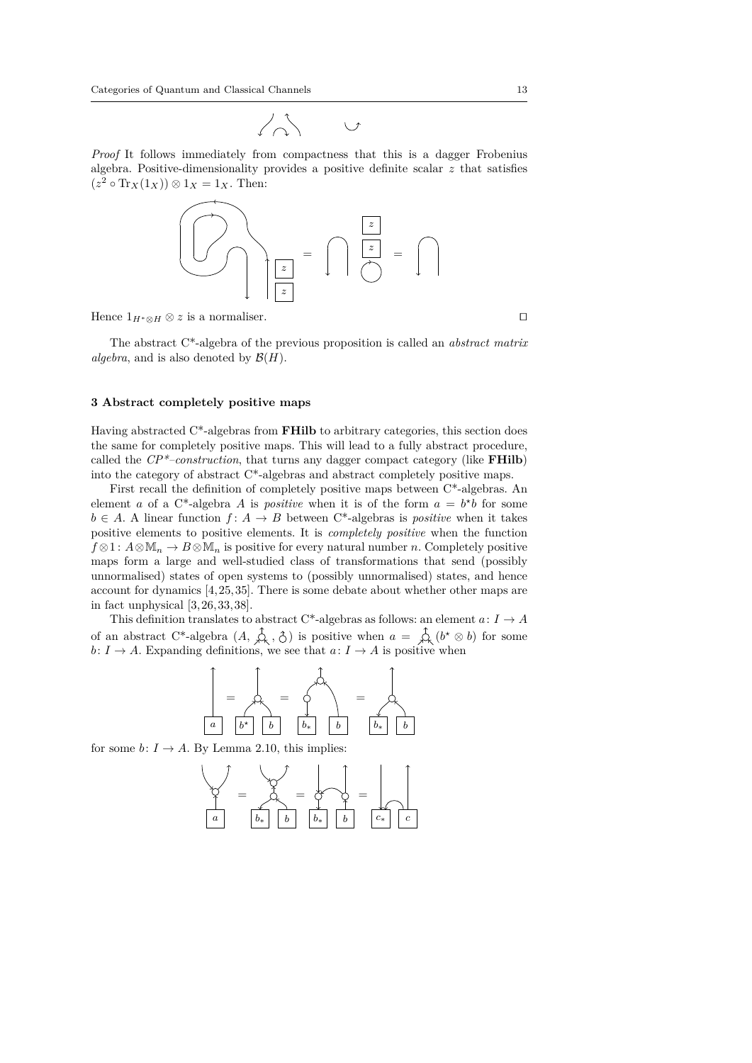*Proof* It follows immediately from compactness that this is a dagger Frobenius algebra. Positive-dimensionality provides a positive definite scalar *z* that satisfies  $(z^2 \circ \text{Tr}_X(1_X)) \otimes 1_X = 1_X$ . Then:



Hence  $1_{H^*\otimes H}\otimes z$  is a normaliser.

The abstract C\*-algebra of the previous proposition is called an *abstract matrix algebra*, and is also denoted by  $\mathcal{B}(H)$ .

#### **3 Abstract completely positive maps**

Having abstracted C\*-algebras from **FHilb** to arbitrary categories, this section does the same for completely positive maps. This will lead to a fully abstract procedure, called the *CP\*–construction*, that turns any dagger compact category (like **FHilb**) into the category of abstract C\*-algebras and abstract completely positive maps.

First recall the definition of completely positive maps between C\*-algebras. An element *a* of a C<sup>\*</sup>-algebra *A* is *positive* when it is of the form  $a = b^*b$  for some  $b \in A$ . A linear function  $f: A \to B$  between C<sup>\*</sup>-algebras is *positive* when it takes positive elements to positive elements. It is *completely positive* when the function *f* ⊗1 :  $A \otimes M_n$  →  $B \otimes M_n$  is positive for every natural number *n*. Completely positive maps form a large and well-studied class of transformations that send (possibly unnormalised) states of open systems to (possibly unnormalised) states, and hence account for dynamics [4, 25, 35]. There is some debate about whether other maps are in fact unphysical [3, 26,33, 38].

This definition translates to abstract C\*-algebras as follows: an element  $a\colon I\to A$ of an abstract C<sup>\*</sup>-algebra  $(A, \overrightarrow{A}, \overrightarrow{C})$  is positive when  $a = \overrightarrow{A}$   $(b^* \otimes b)$  for some  $b: I \to A$ . Expanding definitions, we see that  $a: I \to A$  is positive when



for some  $b: I \to A$ . By Lemma 2.10, this implies:

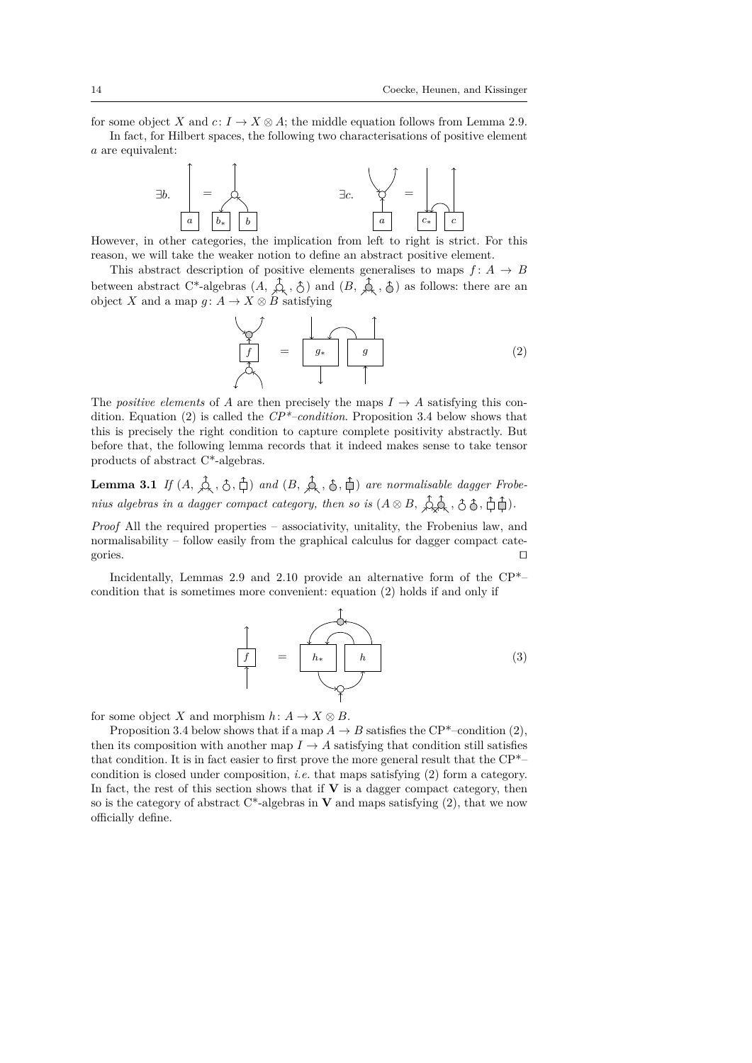for some object *X* and  $c: I \to X \otimes A$ ; the middle equation follows from Lemma 2.9.

In fact, for Hilbert spaces, the following two characterisations of positive element *a* are equivalent:



However, in other categories, the implication from left to right is strict. For this reason, we will take the weaker notion to define an abstract positive element.

This abstract description of positive elements generalises to maps  $f: A \rightarrow B$ between abstract C<sup>\*</sup>-algebras  $(A, \n\Diamond, \n\Diamond)$  and  $(B, \n\Diamond, \n\Diamond)$  as follows: there are an object *X* and a map  $g: A \to X \otimes B$  satisfying

$$
\begin{array}{c}\n\downarrow \\
\downarrow \\
\uparrow \\
\downarrow\n\end{array} = \begin{array}{c}\n\downarrow \\
\downarrow \\
\downarrow \\
\downarrow\n\end{array} \qquad (2)
$$

The *positive elements* of *A* are then precisely the maps  $I \rightarrow A$  satisfying this condition. Equation (2) is called the *CP\*–condition*. Proposition 3.4 below shows that this is precisely the right condition to capture complete positivity abstractly. But before that, the following lemma records that it indeed makes sense to take tensor products of abstract C\*-algebras.

**Lemma 3.1** *If*  $(A, \overrightarrow{A}, \overrightarrow{C}, \overrightarrow{D})$  *and*  $(B, \overrightarrow{A}, \overrightarrow{C}, \overrightarrow{D})$  *are normalisable dagger Frobenius algebras in a dagger compact category, then so is*  $(A \otimes B, \overbrace{\lambda}^{\uparrow} \mathcal{A}, \overline{\hat{C}} \otimes \overline{A}, \overline{\hat{C}} \overline{\hat{C}})$ .

*Proof* All the required properties – associativity, unitality, the Frobenius law, and normalisability – follow easily from the graphical calculus for dagger compact categories.  $\Box$ 

Incidentally, Lemmas 2.9 and 2.10 provide an alternative form of the CP\*– condition that is sometimes more convenient: equation (2) holds if and only if

$$
\frac{1}{\left|f\right|} = \frac{1}{\left|h_*\right| \left|h\right|} \tag{3}
$$

for some object *X* and morphism  $h: A \to X \otimes B$ .

Proposition 3.4 below shows that if a map  $A \to B$  satisfies the CP<sup>\*</sup>–condition (2), then its composition with another map  $I \rightarrow A$  satisfying that condition still satisfies that condition. It is in fact easier to first prove the more general result that the CP\*– condition is closed under composition, *i.e.* that maps satisfying (2) form a category. In fact, the rest of this section shows that if  $V$  is a dagger compact category, then so is the category of abstract  $C^*$ -algebras in **V** and maps satisfying  $(2)$ , that we now officially define.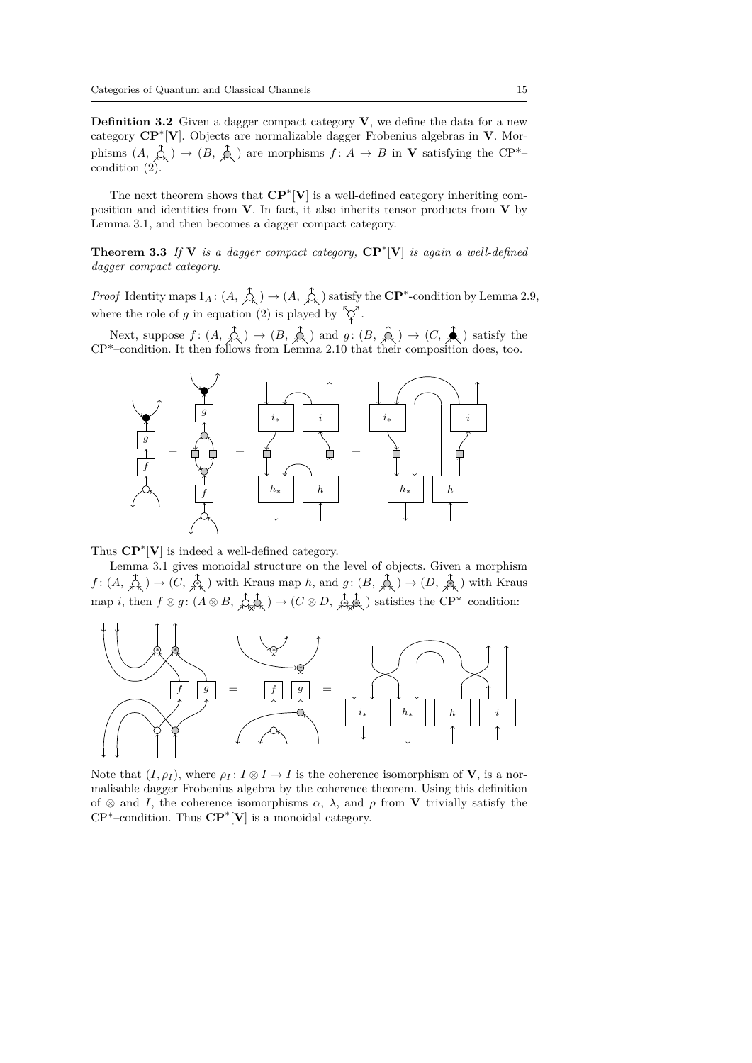**Definition 3.2** Given a dagger compact category **V**, we define the data for a new category **CP**<sup>∗</sup> [**V**]. Objects are normalizable dagger Frobenius algebras in **V**. Morphisms  $(A, \overrightarrow{A}) \rightarrow (B, \overrightarrow{A})$  are morphisms  $f: A \rightarrow B$  in **V** satisfying the CP<sup>\*</sup>– condition  $(2)$ .

The next theorem shows that **CP**<sup>∗</sup> [**V**] is a well-defined category inheriting composition and identities from **V**. In fact, it also inherits tensor products from **V** by Lemma 3.1, and then becomes a dagger compact category.

**Theorem 3.3** *If* **V** *is a dagger compact category,* **CP**<sup>∗</sup> [**V**] *is again a well-defined dagger compact category.*

*Proof* Identity maps  $1_A: (A, \hat{\uparrow}_k) \to (A, \hat{\uparrow}_k)$  satisfy the  $\mathbb{CP}^*$ -condition by Lemma 2.9, where the role of *g* in equation (2) is played by  $\widetilde{\varphi}$ .

Next, suppose  $f : (A, \xrightarrow{\wedge} ) \rightarrow (B, \xrightarrow{\wedge} )$  and  $g : (B, \xrightarrow{\wedge} ) \rightarrow (C, \xrightarrow{\blacktriangle})$  satisfy the CP\*–condition. It then follows from Lemma 2.10 that their composition does, too.



Thus **CP**<sup>∗</sup> [**V**] is indeed a well-defined category.

Lemma 3.1 gives monoidal structure on the level of objects. Given a morphism  $f: (A, \overrightarrow{A}) \to (C, \overrightarrow{A})$  with Kraus map *h*, and  $g: (B, \overrightarrow{A}) \to (D, \overrightarrow{A})$  with Kraus  $\text{map } i, \text{ then } f \otimes g : (A \otimes B, \overrightarrow{\mathcal{Q}, \mathcal{Q}}) \to (C \otimes D, \overrightarrow{\mathcal{Q}, \mathcal{Q}})$  satisfies the CP<sup>\*</sup>–condition:



Note that  $(I, \rho_I)$ , where  $\rho_I : I \otimes I \to I$  is the coherence isomorphism of **V**, is a normalisable dagger Frobenius algebra by the coherence theorem. Using this definition of  $\otimes$  and *I*, the coherence isomorphisms  $\alpha$ ,  $\lambda$ , and  $\rho$  from **V** trivially satisfy the CP\*–condition. Thus **CP**<sup>∗</sup> [**V**] is a monoidal category.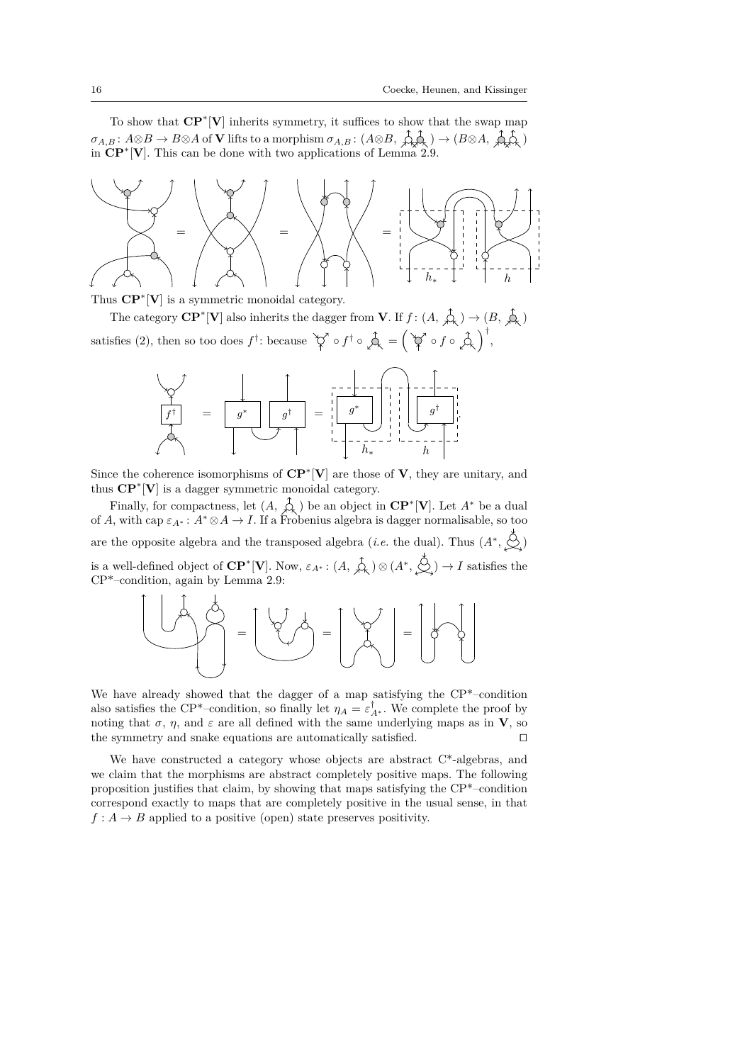To show that **CP**<sup>∗</sup> [**V**] inherits symmetry, it suffices to show that the swap map  $\sigma_{A,B}: A \otimes B \to B \otimes A$  of **V** lifts to a morphism  $\sigma_{A,B}: (A \otimes B, \overrightarrow{A} \otimes A) \to (B \otimes A, \overrightarrow{A} \otimes A)$ in **CP**<sup>∗</sup> [**V**]. This can be done with two applications of Lemma 2.9.



Thus  $\mathbf{CP}^*[\mathbf{V}]$  is a symmetric monoidal category.

The category  $\mathbf{CP}^*[\mathbf{V}]$  also inherits the dagger from **V**. If  $f : (A, \hat{\phi}_k) \to (B, \hat{\phi}_k)$ satisfies (2), then so too does  $f^{\dagger}$ : because  $\check{\heartsuit}$  o  $f^{\dagger} \circ \hat{\Phi} = (\check{\heartsuit} \circ f \circ \hat{\Phi})^{\dagger}$ ,



Since the coherence isomorphisms of **CP**<sup>∗</sup> [**V**] are those of **V**, they are unitary, and thus **CP**<sup>∗</sup> [**V**] is a dagger symmetric monoidal category.

Finally, for compactness, let  $(A, \hat{A})$  be an object in  $\mathbb{CP}^*[\mathbf{V}]$ . Let  $A^*$  be a dual of *A*, with cap  $\varepsilon_{A^*}: A^* \otimes A \to I$ . If a Frobenius algebra is dagger normalisable, so too are the opposite algebra and the transposed algebra (*i.e.* the dual). Thus  $(A^*, \underset{\sim}{\diamondsuit})$ is a well-defined object of  $\mathbf{CP}^*[\mathbf{V}]$ . Now,  $\varepsilon_{A^*}: (A, \hat{A}) \otimes (A^*, \hat{S}) \to I$  satisfies the CP\*–condition, again by Lemma 2.9:



We have already showed that the dagger of a map satisfying the CP\*–condition also satisfies the CP<sup>\*</sup>-condition, so finally let  $\eta_A = \varepsilon_{A^*}^{\dagger}$ . We complete the proof by noting that  $\sigma$ ,  $\eta$ , and  $\varepsilon$  are all defined with the same underlying maps as in **V**, so the symmetry and snake equations are automatically satisfied.  $\square$ 

We have constructed a category whose objects are abstract C\*-algebras, and we claim that the morphisms are abstract completely positive maps. The following proposition justifies that claim, by showing that maps satisfying the CP\*–condition correspond exactly to maps that are completely positive in the usual sense, in that  $f: A \to B$  applied to a positive (open) state preserves positivity.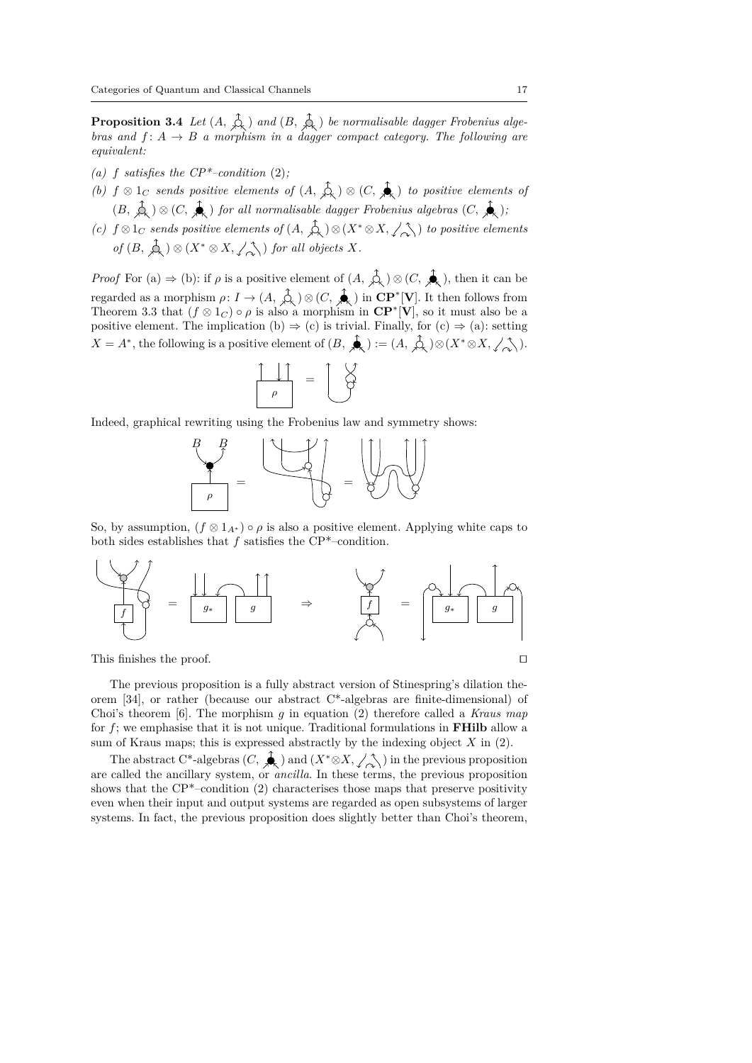**Proposition 3.4** *Let*  $(A, \Diamond\xi)$  *and*  $(B, \Diamond\xi)$  *be normalisable dagger Frobenius algebras and*  $f: A \rightarrow B$  *a morphism in a dagger compact category. The following are equivalent:*

- (a)  $f$  *satisfies the CP*<sup>\*</sup>–condition (2);
- *(b)*  $f \otimes 1_C$  *sends positive elements of*  $(A, \overrightarrow{A}) \otimes (C, \overrightarrow{A})$  *to positive elements of*  $(B, \overrightarrow{A}) \otimes (C, \overrightarrow{A})$  *for all normalisable dagger Frobenius algebras*  $(C, \overrightarrow{A})$ ;
- *(c)*  $f \otimes 1_C$  *sends positive elements of*  $(A, \overrightarrow{A}) \otimes (X^* \otimes X, \angle \overrightarrow{A})$  *to positive elements of*  $(B, \overrightarrow{A}) \otimes (X^* \otimes X, \angle \hat{\wedge})$  *for all objects X.*

*Proof* For (a)  $\Rightarrow$  (b): if  $\rho$  is a positive element of  $(A, \overrightarrow{A},) \otimes (C, \overrightarrow{A},)$ , then it can be regarded as a morphism  $\rho: I \to (A, \hat{\downarrow}_{\lambda}) \otimes (C, \hat{\clubsuit})$  in  $\mathbb{CP}^*[\mathbf{V}]$ . It then follows from Theorem 3.3 that  $(f \otimes 1_C) \circ \rho$  is also a morphism in  $\mathbb{CP}^*[\mathbf{V}]$ , so it must also be a positive element. The implication (b)  $\Rightarrow$  (c) is trivial. Finally, for (c)  $\Rightarrow$  (a): setting  $X = A^*$ , the following is a positive element of  $(B, \bigstar) := (A, \bigstar) \otimes (X^* \otimes X, \angle \wedge)$ .

$$
\begin{array}{c}\n\begin{array}{|c|}\n\hline\n\end{array}\n\end{array} \n\begin{array}{c}\n\hline\n\end{array}
$$

Indeed, graphical rewriting using the Frobenius law and symmetry shows:



So, by assumption,  $(f \otimes 1_{A^*}) \circ \rho$  is also a positive element. Applying white caps to both sides establishes that *f* satisfies the CP\*–condition.



This finishes the proof.  $\Box$ 

The previous proposition is a fully abstract version of Stinespring's dilation theorem [34], or rather (because our abstract C\*-algebras are finite-dimensional) of Choi's theorem [6]. The morphism *g* in equation (2) therefore called a *Kraus map* for *f*; we emphasise that it is not unique. Traditional formulations in **FHilb** allow a sum of Kraus maps; this is expressed abstractly by the indexing object *X* in (2).

The abstract C\*-algebras  $(C, \overbrace{\mathcal{A}})$  and  $(X^* \otimes X, \angle \underset{\sim}{\diamond} )$  in the previous proposition are called the ancillary system, or *ancilla*. In these terms, the previous proposition shows that the  $\text{CP}^*$ –condition (2) characterises those maps that preserve positivity even when their input and output systems are regarded as open subsystems of larger systems. In fact, the previous proposition does slightly better than Choi's theorem,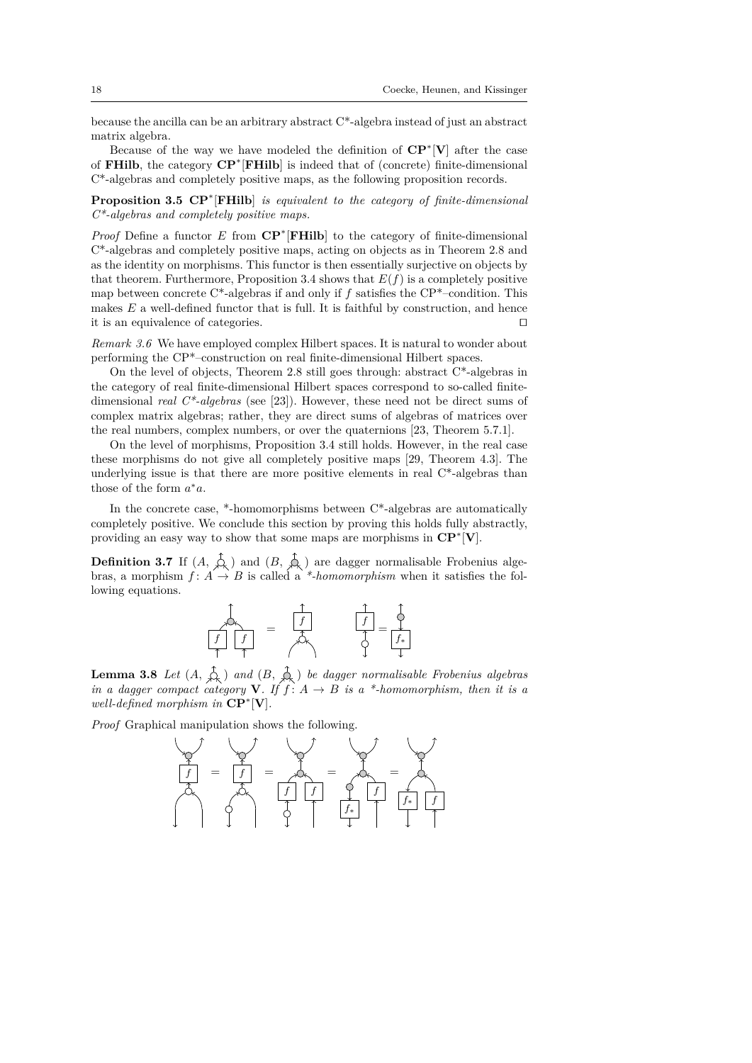because the ancilla can be an arbitrary abstract C\*-algebra instead of just an abstract matrix algebra.

Because of the way we have modeled the definition of **CP**<sup>∗</sup> [**V**] after the case of **FHilb**, the category **CP**<sup>∗</sup> [**FHilb**] is indeed that of (concrete) finite-dimensional C\*-algebras and completely positive maps, as the following proposition records.

**Proposition 3.5 CP**<sup>∗</sup> [**FHilb**] *is equivalent to the category of finite-dimensional C\*-algebras and completely positive maps.*

*Proof* Define a functor *E* from **CP**<sup>∗</sup> [**FHilb**] to the category of finite-dimensional C\*-algebras and completely positive maps, acting on objects as in Theorem 2.8 and as the identity on morphisms. This functor is then essentially surjective on objects by that theorem. Furthermore, Proposition 3.4 shows that  $E(f)$  is a completely positive map between concrete C\*-algebras if and only if *f* satisfies the CP\*–condition. This makes *E* a well-defined functor that is full. It is faithful by construction, and hence it is an equivalence of categories.  $\Box$ 

*Remark 3.6* We have employed complex Hilbert spaces. It is natural to wonder about performing the CP\*–construction on real finite-dimensional Hilbert spaces.

On the level of objects, Theorem 2.8 still goes through: abstract C\*-algebras in the category of real finite-dimensional Hilbert spaces correspond to so-called finitedimensional *real C\*-algebras* (see [23]). However, these need not be direct sums of complex matrix algebras; rather, they are direct sums of algebras of matrices over the real numbers, complex numbers, or over the quaternions [23, Theorem 5.7.1].

On the level of morphisms, Proposition 3.4 still holds. However, in the real case these morphisms do not give all completely positive maps [29, Theorem 4.3]. The underlying issue is that there are more positive elements in real C\*-algebras than those of the form  $a^*a$ .

In the concrete case, \*-homomorphisms between  $C^*$ -algebras are automatically completely positive. We conclude this section by proving this holds fully abstractly, providing an easy way to show that some maps are morphisms in **CP**<sup>∗</sup> [**V**].

**Definition 3.7** If  $(A, \mathcal{L})$  and  $(B, \mathcal{L})$  are dagger normalisable Frobenius algebras, a morphism  $f: A \to B$  is called a *\*-homomorphism* when it satisfies the following equations.

$$
\frac{1}{\begin{array}{|c|c|c|}\hline f&f&=&\overbrace{f}&&&\overbrace{f}&&\\ \hline f&f&=&\overbrace{f}&&&\overbrace{f}&&\\ \hline \end{array}}
$$

**Lemma 3.8** *Let*  $(A, \overrightarrow{\mathcal{L}})$  *and*  $(B, \overrightarrow{\mathcal{L}})$  *be dagger normalisable Frobenius algebras in a dagger compact category* **V***. If*  $f: A \rightarrow B$  *is a* \*-homomorphism, then it is a *well-defined morphism in* **CP**<sup>∗</sup> [**V**]*.*

*Proof* Graphical manipulation shows the following.

$$
\frac{1}{\sqrt{2}} = \frac{1}{\sqrt{2}} = \frac{1}{\sqrt{2}} = \frac{1}{\sqrt{2}} = \frac{1}{\sqrt{2}} = \frac{1}{\sqrt{2}} = \frac{1}{\sqrt{2}} = \frac{1}{\sqrt{2}} = \frac{1}{\sqrt{2}} = \frac{1}{\sqrt{2}} = \frac{1}{\sqrt{2}} = \frac{1}{\sqrt{2}} = \frac{1}{\sqrt{2}} = \frac{1}{\sqrt{2}} = \frac{1}{\sqrt{2}} = \frac{1}{\sqrt{2}} = \frac{1}{\sqrt{2}} = \frac{1}{\sqrt{2}} = \frac{1}{\sqrt{2}} = \frac{1}{\sqrt{2}} = \frac{1}{\sqrt{2}} = \frac{1}{\sqrt{2}} = \frac{1}{\sqrt{2}} = \frac{1}{\sqrt{2}} = \frac{1}{\sqrt{2}} = \frac{1}{\sqrt{2}} = \frac{1}{\sqrt{2}} = \frac{1}{\sqrt{2}} = \frac{1}{\sqrt{2}} = \frac{1}{\sqrt{2}} = \frac{1}{\sqrt{2}} = \frac{1}{\sqrt{2}} = \frac{1}{\sqrt{2}} = \frac{1}{\sqrt{2}} = \frac{1}{\sqrt{2}} = \frac{1}{\sqrt{2}} = \frac{1}{\sqrt{2}} = \frac{1}{\sqrt{2}} = \frac{1}{\sqrt{2}} = \frac{1}{\sqrt{2}} = \frac{1}{\sqrt{2}} = \frac{1}{\sqrt{2}} = \frac{1}{\sqrt{2}} = \frac{1}{\sqrt{2}} = \frac{1}{\sqrt{2}} = \frac{1}{\sqrt{2}} = \frac{1}{\sqrt{2}} = \frac{1}{\sqrt{2}} = \frac{1}{\sqrt{2}} = \frac{1}{\sqrt{2}} = \frac{1}{\sqrt{2}} = \frac{1}{\sqrt{2}} = \frac{1}{\sqrt{2}} = \frac{1}{\sqrt{2}} = \frac{1}{\sqrt{2}} = \frac{1}{\sqrt{2}} = \frac{1}{\sqrt{2}} = \frac{1}{\sqrt{2}} = \frac{1}{\sqrt{2}} = \frac{1}{\sqrt{2}} = \frac{1}{\sqrt{2}} = \frac{1}{\sqrt{2}} = \frac{1}{\sqrt{2}} = \frac{1}{\sqrt{2}} = \frac{1}{\sqrt{2}} = \frac{1}{\sqrt{2}} = \frac{1}{\sqrt{2}} = \frac{1}{\sqrt{2}} = \frac{1}{\sqrt{2}} = \
$$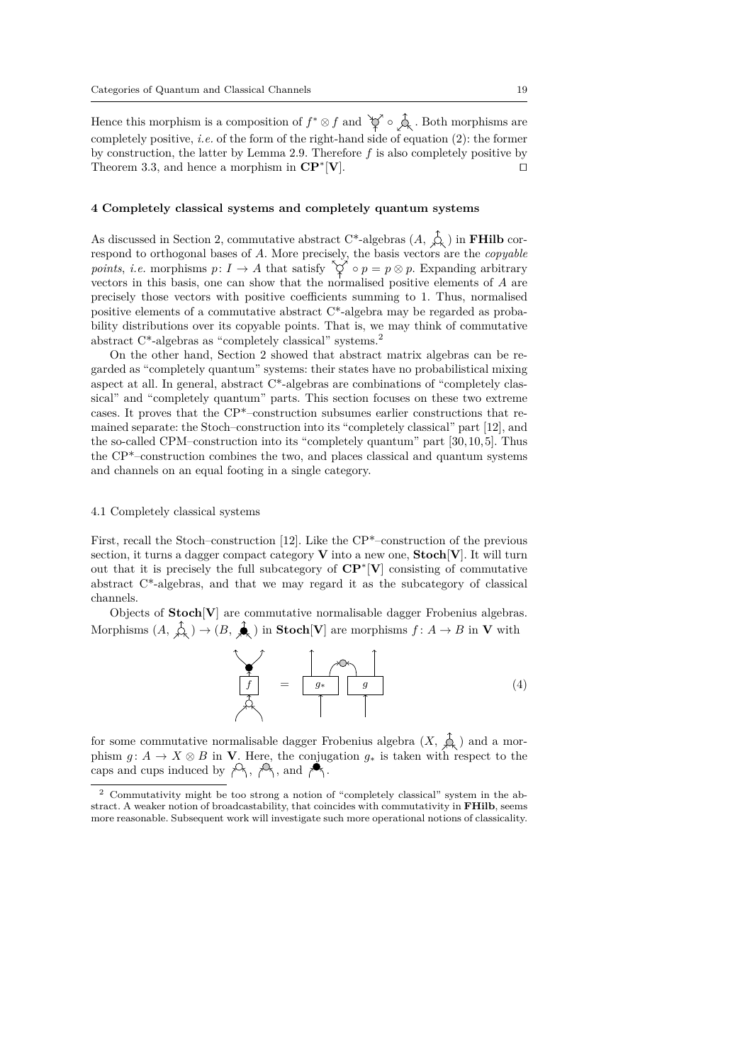Hence this morphism is a composition of  $f^* \otimes f$  and  $\check{\nabla} \circ \mathring{\Delta}$ . Both morphisms are completely positive, *i.e.* of the form of the right-hand side of equation (2): the former by construction, the latter by Lemma 2.9. Therefore *f* is also completely positive by Theorem 3.3, and hence a morphism in **CP**<sup>∗</sup>  $[\mathbf{V}]$ .

#### **4 Completely classical systems and completely quantum systems**

As discussed in Section 2, commutative abstract C\*-algebras  $(A, \overrightarrow{A})$  in **FHilb** correspond to orthogonal bases of *A*. More precisely, the basis vectors are the *copyable points, i.e.* morphisms  $p: I \to A$  that satisfy  $\check{\vee} \circ p = p \otimes p$ . Expanding arbitrary vectors in this basis, one can show that the normalised positive elements of *A* are precisely those vectors with positive coefficients summing to 1. Thus, normalised positive elements of a commutative abstract C\*-algebra may be regarded as probability distributions over its copyable points. That is, we may think of commutative abstract C\*-algebras as "completely classical" systems.<sup>2</sup>

On the other hand, Section 2 showed that abstract matrix algebras can be regarded as "completely quantum" systems: their states have no probabilistical mixing aspect at all. In general, abstract C\*-algebras are combinations of "completely classical" and "completely quantum" parts. This section focuses on these two extreme cases. It proves that the CP\*–construction subsumes earlier constructions that remained separate: the Stoch–construction into its "completely classical" part [12], and the so-called CPM–construction into its "completely quantum" part [30, 10, 5]. Thus the CP\*–construction combines the two, and places classical and quantum systems and channels on an equal footing in a single category.

#### 4.1 Completely classical systems

First, recall the Stoch–construction [12]. Like the CP\*–construction of the previous section, it turns a dagger compact category **V** into a new one, **Stoch**[**V**]. It will turn out that it is precisely the full subcategory of **CP**<sup>∗</sup> [**V**] consisting of commutative abstract C\*-algebras, and that we may regard it as the subcategory of classical channels.

Objects of **Stoch**[**V**] are commutative normalisable dagger Frobenius algebras. Morphisms  $(A, \hat{\n\lambda}) \to (B, \hat{\n\lambda})$  in **Stoch**[**V**] are morphisms  $f: A \to B$  in **V** with

$$
\begin{array}{|c|c|c|}\n\hline\n\end{array}\n\qquad \qquad = \qquad\n\begin{array}{|c|c|}\n\hline\ng^{\text{max}} & g \\
\hline\n\end{array}\n\qquad \qquad (4)
$$

for some commutative normalisable dagger Frobenius algebra  $(X, \hat{\mathcal{A}})$  and a morphism  $g: A \to X \otimes B$  in **V**. Here, the conjugation  $g_*$  is taken with respect to the caps and cups induced by  $\not\leftrightarrow$ ,  $\not\leftrightarrow$ , and  $\not\leftrightarrow$ .

<sup>2</sup> Commutativity might be too strong a notion of "completely classical" system in the abstract. A weaker notion of broadcastability, that coincides with commutativity in **FHilb**, seems more reasonable. Subsequent work will investigate such more operational notions of classicality.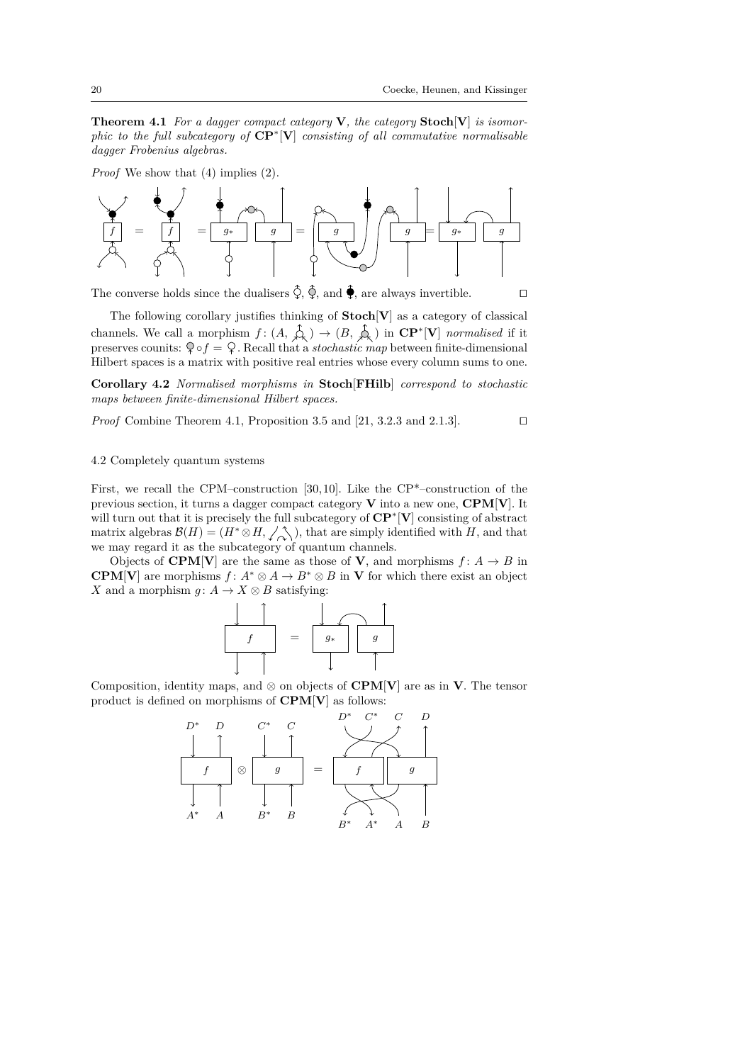**Theorem 4.1** *For a dagger compact category* **V***, the category* **Stoch**[**V**] *is isomorphic to the full subcategory of* **CP**<sup>∗</sup> [**V**] *consisting of all commutative normalisable dagger Frobenius algebras.*

*Proof* We show that (4) implies (2).



The converse holds since the dualisers  $\hat{\varphi}$ ,  $\hat{\varphi}$ , and  $\hat{\varphi}$ , are always invertible.

The following corollary justifies thinking of **Stoch**[**V**] as a category of classical channels. We call a morphism  $f : (A, \hat{A}) \rightarrow (B, \hat{A})$  in  $\mathbb{CP}^*[\mathbf{V}]$  *normalised* if it preserves counits:  $\Diamond \circ f = \Diamond$ . Recall that a *stochastic map* between finite-dimensional Hilbert spaces is a matrix with positive real entries whose every column sums to one.

**Corollary 4.2** *Normalised morphisms in* **Stoch**[**FHilb**] *correspond to stochastic maps between finite-dimensional Hilbert spaces.*

*Proof* Combine Theorem 4.1, Proposition 3.5 and  $[21, 3.2.3 \text{ and } 2.1.3]$ .

# 4.2 Completely quantum systems

First, we recall the CPM–construction [30, 10]. Like the  $\text{CP*}-\text{construction}$  of the previous section, it turns a dagger compact category **V** into a new one, **CPM**[**V**]. It will turn out that it is precisely the full subcategory of **CP**<sup>∗</sup> [**V**] consisting of abstract matrix algebras  $\mathcal{B}(H) = (H^* \otimes H, \angle \wedge \rangle)$ , that are simply identified with *H*, and that we may regard it as the subcategory of quantum channels.

Objects of **CPM**[**V**] are the same as those of **V**, and morphisms  $f: A \rightarrow B$  in **CPM**[**V**] are morphisms  $f: A^* \otimes A \to B^* \otimes B$  in **V** for which there exist an object *X* and a morphism *g* :  $A \rightarrow X \otimes B$  satisfying:



Composition, identity maps, and  $\otimes$  on objects of **CPM[V**] are as in **V**. The tensor product is defined on morphisms of **CPM**[**V**] as follows:

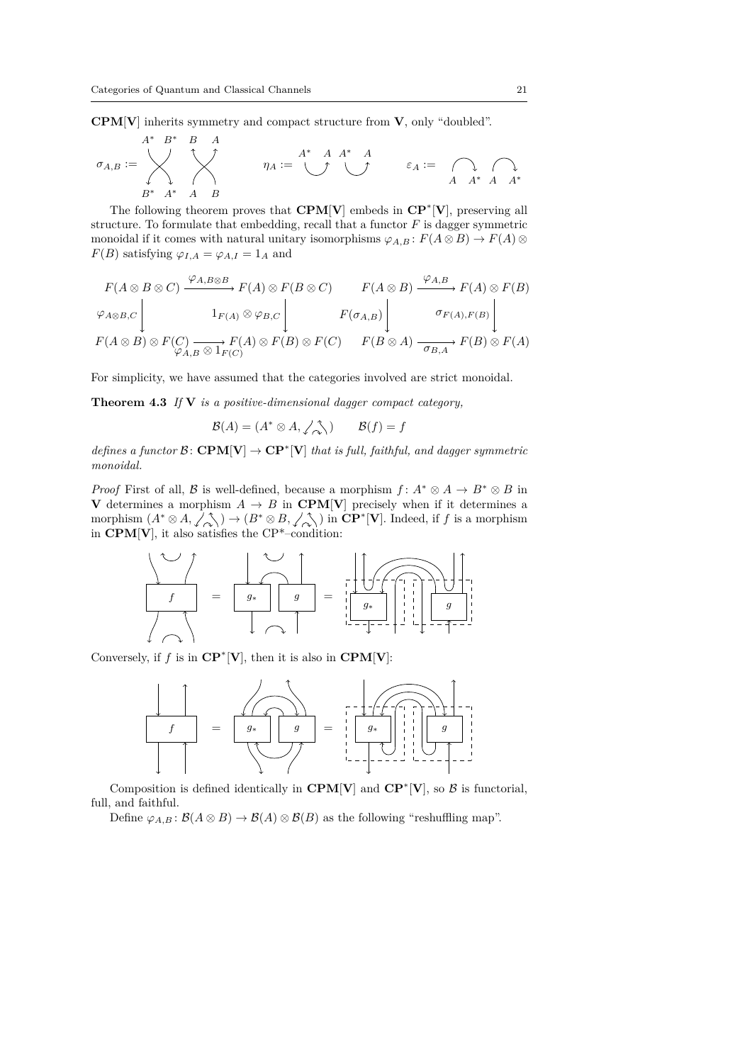**CPM**[**V**] inherits symmetry and compact structure from **V**, only "doubled".

$$
\sigma_{A,B} := \begin{matrix} & A^* & B & A \\ & \searrow & & \searrow \\ & \searrow & & \searrow \\ & B^* & A^* & A & B \end{matrix} \qquad \qquad \eta_A := \begin{matrix} & A^* & A & A^* & A \\ & \searrow & & \searrow & \\ & \searrow & & \searrow & \\ & \searrow & & \searrow & \\ & \searrow & & \searrow & \\ & \searrow & & \searrow & \\ & \searrow & & \searrow & \\ & \searrow & & \searrow & \\ & \searrow & & \searrow & \\ & \searrow & & \searrow & \\ & \searrow & & \searrow & \\ & \searrow & & \searrow & \\ & \searrow & & \searrow & \\ & \searrow & & \searrow & \\ & \searrow & & \searrow & \\ & \searrow & & \searrow & \\ & \searrow & & \searrow & \\ & \searrow & & \searrow & \\ & \searrow & & \searrow & \\ & \searrow & & \searrow & \\ & \searrow & & \searrow & \\ & \searrow & & \searrow & \\ & \searrow & & \searrow & \\ & \searrow & & \searrow & \\ & \searrow & & \searrow & \\ & \searrow & & \searrow & \\ & \searrow & & \searrow & \\ & \searrow & & \searrow & \\ & \searrow & & \searrow & \\ & \searrow & & \searrow & \\ & \searrow & & \searrow & \\ & \searrow & & \searrow & \\ & \searrow & & \searrow & \\ & \searrow & & \searrow & \\ & \searrow & & \
$$

The following theorem proves that **CPM**[**V**] embeds in **CP**<sup>∗</sup> [**V**], preserving all structure. To formulate that embedding, recall that a functor *F* is dagger symmetric monoidal if it comes with natural unitary isomorphisms  $\varphi_{A,B}: F(A \otimes B) \to F(A) \otimes$ *F*(*B*) satisfying  $\varphi_{I,A} = \varphi_{A,I} = 1_A$  and

$$
F(A \otimes B \otimes C) \xrightarrow{\varphi_{A,B \otimes B}} F(A) \otimes F(B \otimes C) \qquad F(A \otimes B) \xrightarrow{\varphi_{A,B}} F(A) \otimes F(B)
$$
  

$$
\varphi_{A \otimes B,C} \begin{bmatrix} 1_{F(A)} \otimes \varphi_{B,C} & F(\sigma_{A,B}) \\ 1_{F(A)} \otimes \varphi_{B,C} & F(\sigma_{A,B}) \end{bmatrix} \qquad \sigma_{F(A),F(B)} \begin{bmatrix} \sigma_{F(A),F(B)} \\ \sigma_{F(A),F(B)} \end{bmatrix}
$$
  

$$
F(A \otimes B) \otimes F(C) \xrightarrow{\varphi_{A,B} \otimes 1_{F(C)}} F(A) \otimes F(C) \qquad F(B \otimes A) \xrightarrow{\sigma_{B,A}} F(B) \otimes F(A)
$$

For simplicity, we have assumed that the categories involved are strict monoidal.

**Theorem 4.3** *If* **V** *is a positive-dimensional dagger compact category,*

$$
\mathcal{B}(A) = (A^* \otimes A, \angle \underset{\sim}{\wedge} ) \qquad \mathcal{B}(f) = f
$$

*defines a functor*  $\mathcal{B} \colon \mathbf{CPM}[\mathbf{V}] \to \mathbf{CP}^*[\mathbf{V}]$  *that is full, faithful, and dagger symmetric monoidal.*

*Proof* First of all, B is well-defined, because a morphism  $f: A^* \otimes A \to B^* \otimes B$  in **V** determines a morphism  $A \rightarrow B$  in **CPM**[**V**] precisely when if it determines a morphism  $(A^* \otimes A, \angle \otimes A) \rightarrow (B^* \otimes B, \angle \otimes A)$  in  $\mathbb{CP}^*[\mathbf{V}]$ . Indeed, if *f* is a morphism in **CPM**[**V**], it also satisfies the CP\*–condition:

*f* = *g*<sup>∗</sup> *g g*∗ = *g*

Conversely, if  $f$  is in  $\mathbf{CP}^*[\mathbf{V}]$ , then it is also in  $\mathbf{CPM}[\mathbf{V}]$ :



Composition is defined identically in  $\mathbf{CPM[V]}$  and  $\mathbf{CP}^*[\mathbf{V}]$ , so  $\mathcal{B}$  is functorial, full, and faithful.

Define  $\varphi_{A,B} : \mathcal{B}(A \otimes B) \to \mathcal{B}(A) \otimes \mathcal{B}(B)$  as the following "reshuffling map".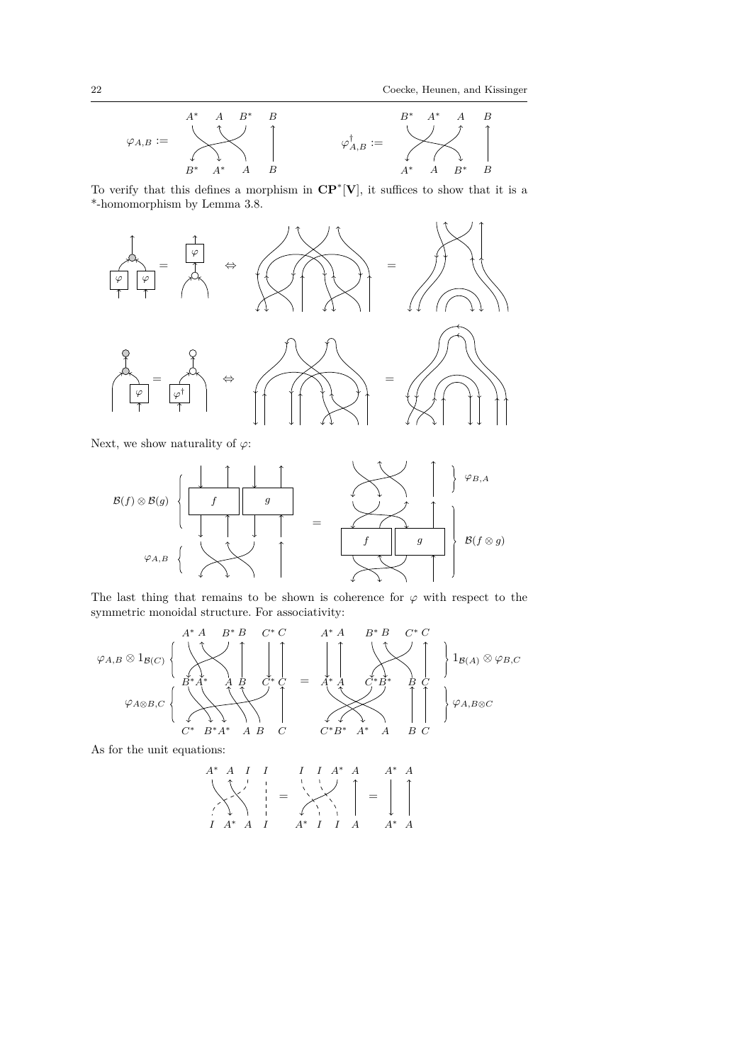

To verify that this defines a morphism in **CP**<sup>∗</sup> [**V**], it suffices to show that it is a \*-homomorphism by Lemma 3.8.



Next, we show naturality of  $\varphi$ :

= *f g f g* B(*f*) ⊗ B(*g*) *ϕA,B ϕB,A* B(*f* ⊗ *g*)

The last thing that remains to be shown is coherence for  $\varphi$  with respect to the symmetric monoidal structure. For associativity:

$$
\varphi_{A,B} \otimes 1_{\mathcal{B}(C)} \left\{ \begin{array}{c} A^* A & B^* B & C^* C \\ \hline \downarrow & \downarrow & \downarrow \\ B^* A^* & A & B & C^* C \\ \hline \downarrow & \downarrow & \downarrow \\ C^* & B^* A^* & A & B & C \end{array} \right. = \begin{array}{c} A^* A & B^* B & C^* C \\ \hline \downarrow & \downarrow & \downarrow \\ A & A & C^* B^* \\ \hline \downarrow & \downarrow & \downarrow \\ C^* B^* & A^* & A & B & C \end{array} \right\} 1_{\mathcal{B}(A)} \otimes \varphi_{B,C}
$$

As for the unit equations:

$$
A^* A I I I I A^* A A A^* A
$$
  
\n
$$
\begin{array}{ccc}\nA^* A I I & I A^* A \\
\downarrow & \downarrow & \downarrow \\
\downarrow & \downarrow & \downarrow \\
I A^* A I & A^* I I A A^* A\n\end{array}
$$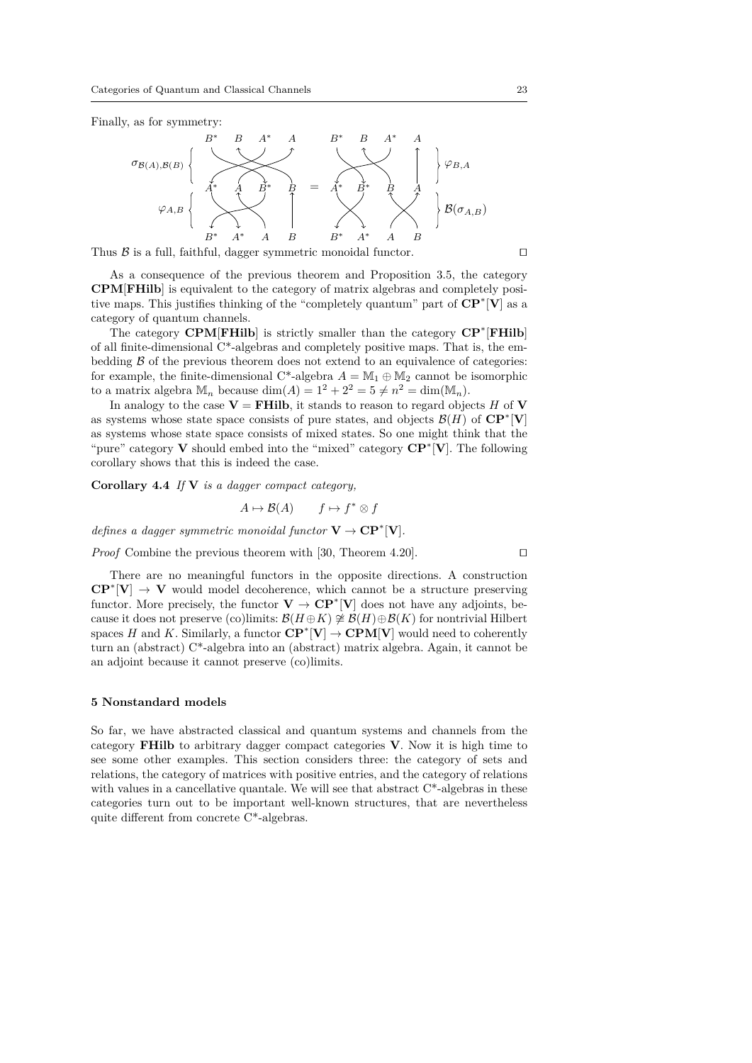Finally, as for symmetry:



Thus  ${\mathcal B}$  is a full, faithful, dagger symmetric monoidal functor.  $\hfill\Box$ 

As a consequence of the previous theorem and Proposition 3.5, the category **CPM**[**FHilb**] is equivalent to the category of matrix algebras and completely positive maps. This justifies thinking of the "completely quantum" part of **CP**<sup>∗</sup> [**V**] as a category of quantum channels.

The category **CPM**[**FHilb**] is strictly smaller than the category **CP**<sup>∗</sup> [**FHilb**] of all finite-dimensional  $C^*$ -algebras and completely positive maps. That is, the embedding  $\beta$  of the previous theorem does not extend to an equivalence of categories: for example, the finite-dimensional C<sup>\*</sup>-algebra  $A = \mathbb{M}_1 \oplus \mathbb{M}_2$  cannot be isomorphic to a matrix algebra  $\mathbb{M}_n$  because  $\dim(A) = 1^2 + 2^2 = 5 \neq n^2 = \dim(\mathbb{M}_n)$ .

In analogy to the case  $V = FHilb$ , it stands to reason to regard objects *H* of **V** as systems whose state space consists of pure states, and objects  $\mathcal{B}(H)$  of  $\mathbb{CP}^*[\mathbf{V}]$ as systems whose state space consists of mixed states. So one might think that the "pure" category **V** should embed into the "mixed" category **CP**<sup>∗</sup> [**V**]. The following corollary shows that this is indeed the case.

**Corollary 4.4** *If* **V** *is a dagger compact category,*

$$
A \mapsto \mathcal{B}(A) \qquad f \mapsto f^* \otimes f
$$

*defines a dagger symmetric monoidal functor*  $V \to CP^* [V]$ *.* 

*Proof* Combine the previous theorem with [30, Theorem 4.20].  $\Box$ 

There are no meaningful functors in the opposite directions. A construction  $\mathbb{CP}^*[\mathbf{V}] \to \mathbf{V}$  would model decoherence, which cannot be a structure preserving functor. More precisely, the functor  $V \to \mathbb{CP}^* [V]$  does not have any adjoints, because it does not preserve (co)limits:  $\mathcal{B}(H \oplus K) \not\cong \mathcal{B}(H) \oplus \mathcal{B}(K)$  for nontrivial Hilbert spaces *H* and *K*. Similarly, a functor  $\mathbf{CP}^*[\mathbf{V}] \to \mathbf{CPM}[\mathbf{V}]$  would need to coherently turn an (abstract) C\*-algebra into an (abstract) matrix algebra. Again, it cannot be an adjoint because it cannot preserve (co)limits.

## **5 Nonstandard models**

So far, we have abstracted classical and quantum systems and channels from the category **FHilb** to arbitrary dagger compact categories **V**. Now it is high time to see some other examples. This section considers three: the category of sets and relations, the category of matrices with positive entries, and the category of relations with values in a cancellative quantale. We will see that abstract  $C^*$ -algebras in these categories turn out to be important well-known structures, that are nevertheless quite different from concrete C\*-algebras.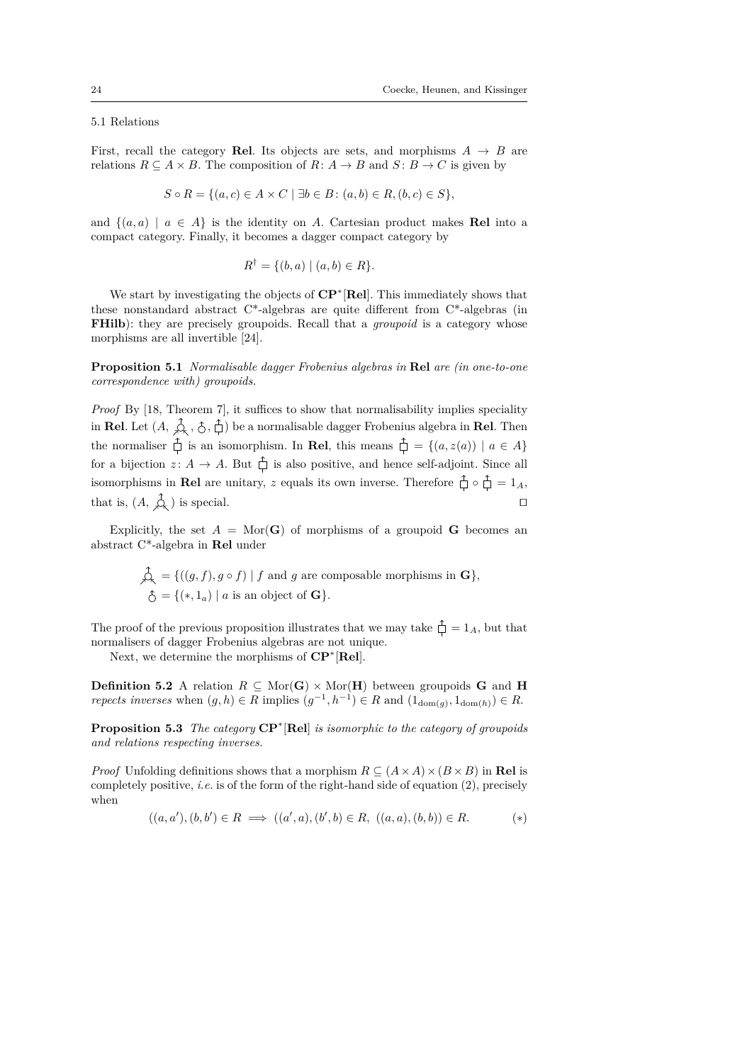# 5.1 Relations

First, recall the category **Rel**. Its objects are sets, and morphisms  $A \rightarrow B$  are relations  $R \subseteq A \times B$ . The composition of  $R: A \rightarrow B$  and  $S: B \rightarrow C$  is given by

$$
S \circ R = \{ (a, c) \in A \times C \mid \exists b \in B : (a, b) \in R, (b, c) \in S \},
$$

and  $\{(a, a) \mid a \in A\}$  is the identity on A. Cartesian product makes **Rel** into a compact category. Finally, it becomes a dagger compact category by

$$
R^{\dagger} = \{ (b, a) \mid (a, b) \in R \}.
$$

We start by investigating the objects of **CP**<sup>∗</sup> [**Rel**]. This immediately shows that these nonstandard abstract C\*-algebras are quite different from C\*-algebras (in **FHilb**): they are precisely groupoids. Recall that a *groupoid* is a category whose morphisms are all invertible [24].

**Proposition 5.1** *Normalisable dagger Frobenius algebras in* **Rel** *are (in one-to-one correspondence with) groupoids.*

*Proof* By [18, Theorem 7], it suffices to show that normalisability implies speciality in **Rel**. Let  $(A, \hat{\phi}, \hat{\phi}, \hat{\phi})$  be a normalisable dagger Frobenius algebra in **Rel**. Then the normaliser  $\hat{\Box}$  is an isomorphism. In **Rel**, this means  $\hat{\Box} = \{(a, z(a)) | a \in A\}$ for a bijection  $z: A \to A$ . But  $\hat{\Box}$  is also positive, and hence self-adjoint. Since all isomorphisms in **Rel** are unitary, *z* equals its own inverse. Therefore  $\hat{\uparrow} \circ \hat{\uparrow} = 1_A$ , that is,  $(A, \hat{A})$  is special.

Explicitly, the set  $A = \text{Mor}(\mathbf{G})$  of morphisms of a groupoid **G** becomes an abstract C\*-algebra in **Rel** under

$$
\mathcal{L}_{\mathcal{K}} = \{ ((g, f), g \circ f) \mid f \text{ and } g \text{ are composable morphisms in } \mathbf{G} \},\
$$

$$
\mathcal{L} = \{ (*, 1_a) \mid a \text{ is an object of } \mathbf{G} \}.
$$

The proof of the previous proposition illustrates that we may take  $\hat{\Box} = 1_A$ , but that normalisers of dagger Frobenius algebras are not unique.

Next, we determine the morphisms of **CP**<sup>∗</sup> [**Rel**].

**Definition 5.2** A relation  $R \subseteq \text{Mor}(\mathbf{G}) \times \text{Mor}(\mathbf{H})$  between groupoids **G** and **H** *repects inverses* when  $(g, h) \in R$  implies  $(g^{-1}, h^{-1}) \in R$  and  $(1_{dom(g)}, 1_{dom(h)}) \in R$ .

**Proposition 5.3** *The category* **CP**<sup>∗</sup> [**Rel**] *is isomorphic to the category of groupoids and relations respecting inverses.*

*Proof* Unfolding definitions shows that a morphism  $R \subseteq (A \times A) \times (B \times B)$  in **Rel** is completely positive, *i.e.* is of the form of the right-hand side of equation (2), precisely when

$$
((a, a'), (b, b') \in R \implies ((a', a), (b', b) \in R, ((a, a), (b, b)) \in R. \tag{*}
$$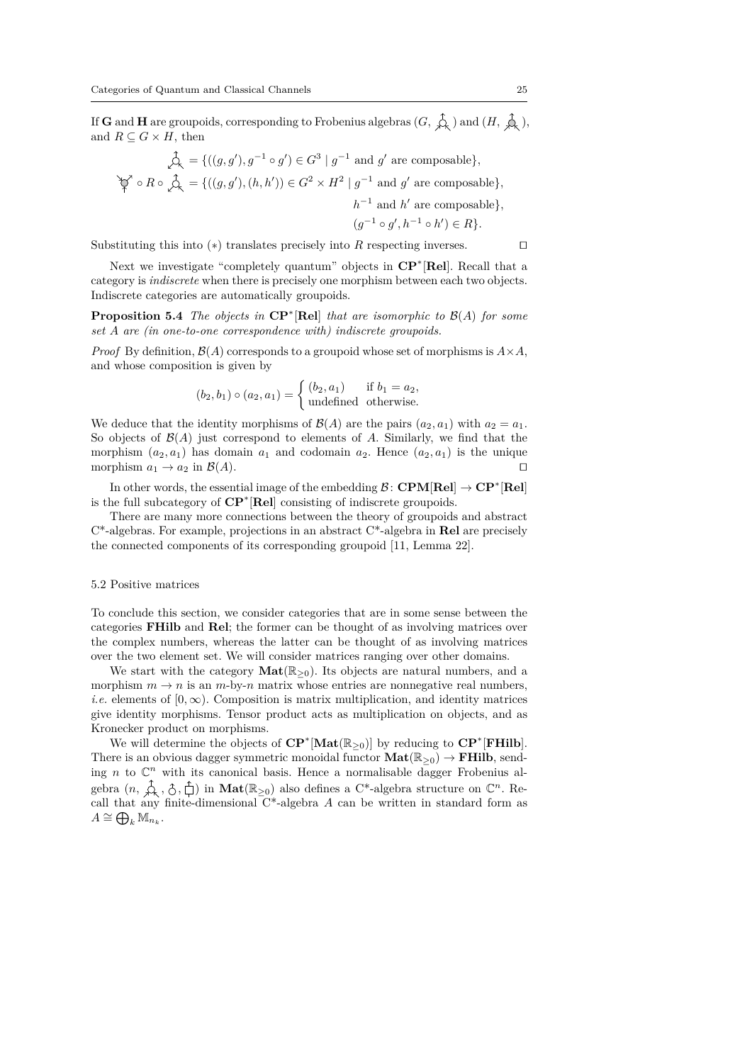If **G** and **H** are groupoids, corresponding to Frobenius algebras  $(G, \hat{\mathcal{A}})$  and  $(H, \hat{\mathcal{A}})$ , and  $R \subseteq G \times H$ , then

$$
\oint_{\mathcal{A}} = \{((g, g'), g^{-1} \circ g') \in G^3 \mid g^{-1} \text{ and } g' \text{ are composable}\},\
$$

$$
\varphi \circ R \circ \hat{\mathcal{A}} = \{((g, g'), (h, h')) \in G^2 \times H^2 \mid g^{-1} \text{ and } g' \text{ are composable}\},\
$$

$$
h^{-1} \text{ and } h' \text{ are composable}\},\
$$

$$
(g^{-1} \circ g', h^{-1} \circ h') \in R\}.
$$

Substituting this into  $(*)$  translates precisely into  $R$  respecting inverses.  $\square$ 

Next we investigate "completely quantum" objects in **CP**<sup>∗</sup> [**Rel**]. Recall that a category is *indiscrete* when there is precisely one morphism between each two objects. Indiscrete categories are automatically groupoids.

**Proposition 5.4** *The objects in* **CP**<sup>∗</sup> [**Rel**] *that are isomorphic to* B(*A*) *for some set A are (in one-to-one correspondence with) indiscrete groupoids.*

*Proof* By definition,  $\mathcal{B}(A)$  corresponds to a groupoid whose set of morphisms is  $A \times A$ , and whose composition is given by

$$
(b_2, b_1) \circ (a_2, a_1) = \begin{cases} (b_2, a_1) & \text{if } b_1 = a_2, \\ \text{undefined} & \text{otherwise.} \end{cases}
$$

We deduce that the identity morphisms of  $\mathcal{B}(A)$  are the pairs  $(a_2, a_1)$  with  $a_2 = a_1$ . So objects of  $\mathcal{B}(A)$  just correspond to elements of A. Similarly, we find that the morphism  $(a_2, a_1)$  has domain  $a_1$  and codomain  $a_2$ . Hence  $(a_2, a_1)$  is the unique morphism  $a_1 \to a_2$  in  $\mathcal{B}(A)$ .

In other words, the essential image of the embedding  $\mathcal{B}$ : **CPM**[**Rel**]  $\rightarrow$  **CP**<sup>\*</sup>[**Rel**] is the full subcategory of **CP**<sup>∗</sup> [**Rel**] consisting of indiscrete groupoids.

There are many more connections between the theory of groupoids and abstract C\*-algebras. For example, projections in an abstract C\*-algebra in **Rel** are precisely the connected components of its corresponding groupoid [11, Lemma 22].

## 5.2 Positive matrices

To conclude this section, we consider categories that are in some sense between the categories **FHilb** and **Rel**; the former can be thought of as involving matrices over the complex numbers, whereas the latter can be thought of as involving matrices over the two element set. We will consider matrices ranging over other domains.

We start with the category  $\text{Mat}(\mathbb{R}_{\geq 0})$ . Its objects are natural numbers, and a morphism  $m \to n$  is an  $m$ -by- $n$  matrix whose entries are nonnegative real numbers, *i.e.* elements of  $[0, \infty)$ . Composition is matrix multiplication, and identity matrices give identity morphisms. Tensor product acts as multiplication on objects, and as Kronecker product on morphisms.

We will determine the objects of **CP**<sup>∗</sup> [**Mat**(R<sup>≥</sup>0)] by reducing to **CP**<sup>∗</sup> [**FHilb**]. There is an obvious dagger symmetric monoidal functor  $Mat(\mathbb{R}_{\geq 0}) \to FHilb$ , sending *n* to  $\mathbb{C}^n$  with its canonical basis. Hence a normalisable dagger Frobenius algebra  $(n, \hat{\uparrow}_{\lambda}, \hat{\uparrow}, \hat{\uparrow})$  in  $\textbf{Mat}(\mathbb{R}_{\geq 0})$  also defines a C<sup>\*</sup>-algebra structure on  $\mathbb{C}^n$ . Recall that any finite-dimensional C\*-algebra *A* can be written in standard form as  $A \cong \bigoplus_k \mathbb{M}_{n_k}$ .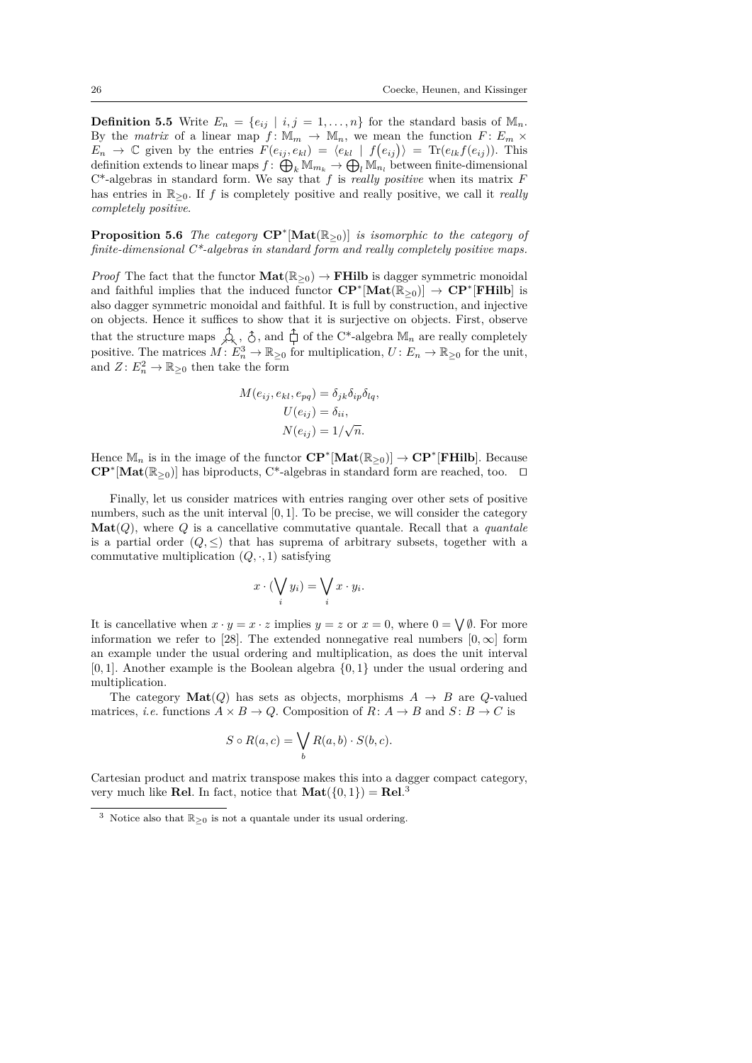**Definition 5.5** Write  $E_n = \{e_{ij} | i, j = 1, \ldots, n\}$  for the standard basis of  $\mathbb{M}_n$ . By the *matrix* of a linear map  $f: \mathbb{M}_m \to \mathbb{M}_n$ , we mean the function  $F: E_m \times$  $E_n \to \mathbb{C}$  given by the entries  $F(e_{ij}, e_{kl}) = \langle e_{kl} | f(e_{ij}) \rangle = \text{Tr}(e_{lk}f(e_{ij}))$ . This definition extends to linear maps  $f: \bigoplus_k \mathbb{M}_{m_k} \to \bigoplus_l \mathbb{M}_{n_l}$  between finite-dimensional C\*-algebras in standard form. We say that *f* is *really positive* when its matrix *F* has entries in R<sup>≥</sup>0. If *f* is completely positive and really positive, we call it *really completely positive*.

**Proposition 5.6** *The category*  $\mathbf{CP}^*[\mathbf{Mat}(\mathbb{R}_{\geq 0})]$  *is isomorphic to the category of finite-dimensional C\*-algebras in standard form and really completely positive maps.*

*Proof* The fact that the functor  $\textbf{Mat}(\mathbb{R}_{>0}) \to \textbf{FHilb}$  is dagger symmetric monoidal and faithful implies that the induced functor  $\mathbf{CP}^*[\mathbf{Mat}(\mathbb{R}_{\geq 0})] \to \mathbf{CP}^*[\mathbf{FHilb}]$  is also dagger symmetric monoidal and faithful. It is full by construction, and injective on objects. Hence it suffices to show that it is surjective on objects. First, observe that the structure maps  $\hat{\lambda}$ ,  $\hat{\zeta}$ , and  $\hat{\zeta}$  of the C<sup>\*</sup>-algebra  $\mathbb{M}_n$  are really completely positive. The matrices  $M: E_n^3 \to \mathbb{R}_{\geq 0}$  for multiplication,  $U: E_n \to \mathbb{R}_{\geq 0}$  for the unit, and  $Z: E_n^2 \to \mathbb{R}_{\geq 0}$  then take the form

$$
M(e_{ij}, e_{kl}, e_{pq}) = \delta_{jk}\delta_{ip}\delta_{lq},
$$

$$
U(e_{ij}) = \delta_{ii},
$$

$$
N(e_{ij}) = 1/\sqrt{n}.
$$

Hence  $\mathbb{M}_n$  is in the image of the functor  $\mathbf{CP}^*[\mathbf{Mat}(\mathbb{R}_{\geq 0})] \to \mathbf{CP}^*[\mathbf{FHilb}]$ . Because **CP<sup>\*</sup>**[Mat( $\mathbb{R}_{\geq 0}$ )] has biproducts, C<sup>\*</sup>-algebras in standard form are reached, too. □

Finally, let us consider matrices with entries ranging over other sets of positive numbers, such as the unit interval [0*,* 1]. To be precise, we will consider the category **Mat**(*Q*), where *Q* is a cancellative commutative quantale. Recall that a *quantale* is a partial order  $(Q, \leq)$  that has suprema of arbitrary subsets, together with a commutative multiplication  $(Q, \cdot, 1)$  satisfying

$$
x \cdot (\bigvee_i y_i) = \bigvee_i x \cdot y_i.
$$

It is cancellative when  $x \cdot y = x \cdot z$  implies  $y = z$  or  $x = 0$ , where  $0 = \bigvee \emptyset$ . For more information we refer to [28]. The extended nonnegative real numbers  $[0, \infty]$  form an example under the usual ordering and multiplication, as does the unit interval [0*,* 1]. Another example is the Boolean algebra {0*,* 1} under the usual ordering and multiplication.

The category  $\textbf{Mat}(Q)$  has sets as objects, morphisms  $A \rightarrow B$  are *Q*-valued matrices, *i.e.* functions  $A \times B \to Q$ . Composition of  $R: A \to B$  and  $S: B \to C$  is

$$
S \circ R(a, c) = \bigvee_{b} R(a, b) \cdot S(b, c).
$$

Cartesian product and matrix transpose makes this into a dagger compact category, very much like **Rel**. In fact, notice that  $\textbf{Mat}(\{0,1\}) = \textbf{Rel}^3$ 

 $^3$  Notice also that  $\mathbb{R}_{\geq 0}$  is not a quantale under its usual ordering.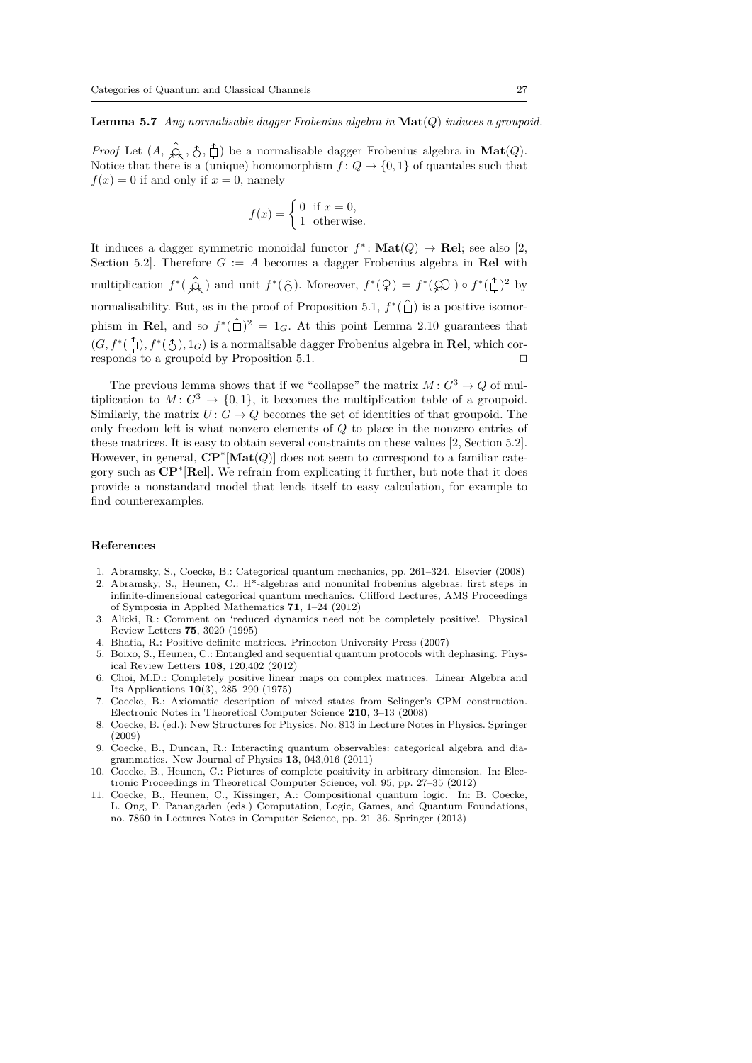**Lemma 5.7** *Any normalisable dagger Frobenius algebra in* **Mat**(*Q*) *induces a groupoid.*

*Proof* Let  $(A, \varphi, \Diamond, \Box)$  be a normalisable dagger Frobenius algebra in  $\text{Mat}(Q)$ . Notice that there is a (unique) homomorphism  $f: Q \to \{0, 1\}$  of quantales such that  $f(x) = 0$  if and only if  $x = 0$ , namely

$$
f(x) = \begin{cases} 0 & \text{if } x = 0, \\ 1 & \text{otherwise.} \end{cases}
$$

It induces a dagger symmetric monoidal functor  $f^*$ : **Mat** $(Q) \to \text{Rel}$ ; see also [2, Section 5.2. Therefore  $G := A$  becomes a dagger Frobenius algebra in **Rel** with multiplication  $f^*(\overrightarrow{\mathcal{A}})$  and unit  $f^*(\overrightarrow{\mathcal{C}})$ . Moreover,  $f^*(\overrightarrow{\mathcal{A}}) = f^*(\overrightarrow{\mathcal{A}}) \circ f^*(\overrightarrow{\mathcal{C}})^2$  by normalisability. But, as in the proof of Proposition 5.1,  $f^*(\hat{\Box})$  is a positive isomorphism in Rel, and so  $f^*(\hat{\perp})^2 = 1_G$ . At this point Lemma 2.10 guarantees that  $(G, f^*(\hat{\Box}), f^*(\hat{\Diamond}), 1_G)$  is a normalisable dagger Frobenius algebra in **Rel**, which corresponds to a groupoid by Proposition 5.1.  $\hfill\Box$ 

The previous lemma shows that if we "collapse" the matrix  $M: G^3 \to Q$  of multiplication to  $M: G^3 \to \{0, 1\}$ , it becomes the multiplication table of a groupoid. Similarly, the matrix  $U: G \to Q$  becomes the set of identities of that groupoid. The only freedom left is what nonzero elements of *Q* to place in the nonzero entries of these matrices. It is easy to obtain several constraints on these values [2, Section 5.2]. However, in general, **CP**<sup>∗</sup> [**Mat**(*Q*)] does not seem to correspond to a familiar category such as **CP**<sup>∗</sup> [**Rel**]. We refrain from explicating it further, but note that it does provide a nonstandard model that lends itself to easy calculation, for example to find counterexamples.

# **References**

- 1. Abramsky, S., Coecke, B.: Categorical quantum mechanics, pp. 261–324. Elsevier (2008) 2. Abramsky, S., Heunen, C.: H\*-algebras and nonunital frobenius algebras: first steps in infinite-dimensional categorical quantum mechanics. Clifford Lectures, AMS Proceedings of Symposia in Applied Mathematics **71**, 1–24 (2012)
- 3. Alicki, R.: Comment on 'reduced dynamics need not be completely positive'. Physical Review Letters **75**, 3020 (1995)
- 4. Bhatia, R.: Positive definite matrices. Princeton University Press (2007)
- 5. Boixo, S., Heunen, C.: Entangled and sequential quantum protocols with dephasing. Physical Review Letters **108**, 120,402 (2012)
- 6. Choi, M.D.: Completely positive linear maps on complex matrices. Linear Algebra and Its Applications **10**(3), 285–290 (1975)
- 7. Coecke, B.: Axiomatic description of mixed states from Selinger's CPM–construction. Electronic Notes in Theoretical Computer Science **210**, 3–13 (2008)
- 8. Coecke, B. (ed.): New Structures for Physics. No. 813 in Lecture Notes in Physics. Springer (2009)
- 9. Coecke, B., Duncan, R.: Interacting quantum observables: categorical algebra and diagrammatics. New Journal of Physics **13**, 043,016 (2011)
- 10. Coecke, B., Heunen, C.: Pictures of complete positivity in arbitrary dimension. In: Electronic Proceedings in Theoretical Computer Science, vol. 95, pp. 27–35 (2012)
- 11. Coecke, B., Heunen, C., Kissinger, A.: Compositional quantum logic. In: B. Coecke, L. Ong, P. Panangaden (eds.) Computation, Logic, Games, and Quantum Foundations, no. 7860 in Lectures Notes in Computer Science, pp. 21–36. Springer (2013)